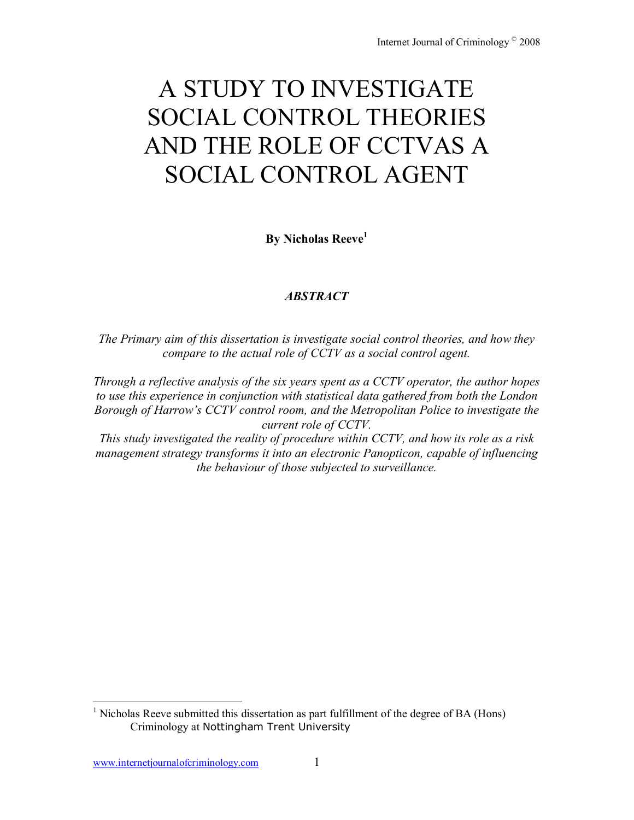# A STUDY TO INVESTIGATE SOCIAL CONTROL THEORIES AND THE ROLE OF CCTVAS A SOCIAL CONTROL AGENT

**By Nicholas Reeve<sup>1</sup>** 

# *ABSTRACT*

*The Primary aim of this dissertation is investigate social control theories, and how they compare to the actual role of CCTV as a social control agent.* 

*Through a reflective analysis of the six years spent as a CCTV operator, the author hopes to use this experience in conjunction with statistical data gathered from both the London Borough of Harrowís CCTV control room, and the Metropolitan Police to investigate the current role of CCTV.* 

*This study investigated the reality of procedure within CCTV, and how its role as a risk management strategy transforms it into an electronic Panopticon, capable of influencing the behaviour of those subjected to surveillance.* 

 $\overline{a}$ 

<sup>&</sup>lt;sup>1</sup> Nicholas Reeve submitted this dissertation as part fulfillment of the degree of BA (Hons) Criminology at Nottingham Trent University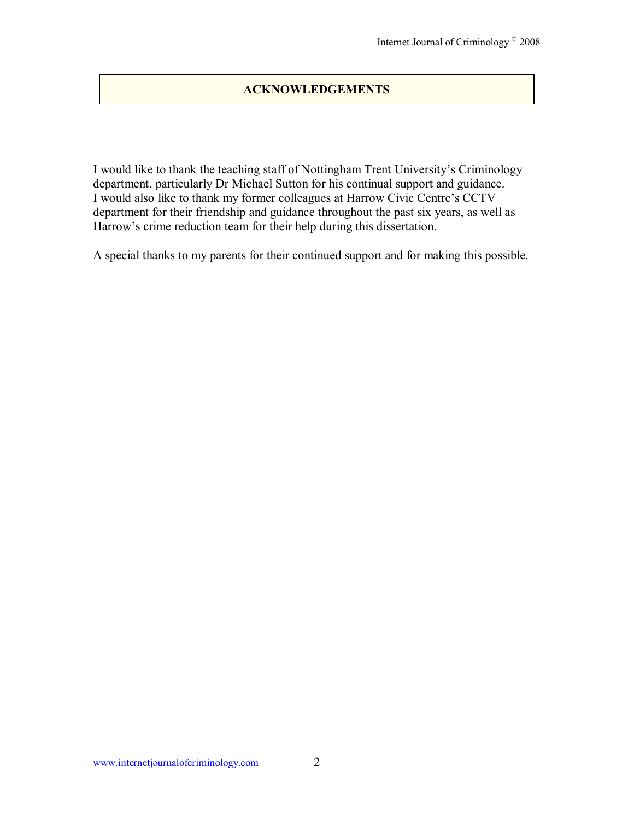# **ACKNOWLEDGEMENTS**

I would like to thank the teaching staff of Nottingham Trent University's Criminology department, particularly Dr Michael Sutton for his continual support and guidance. I would also like to thank my former colleagues at Harrow Civic Centre's CCTV department for their friendship and guidance throughout the past six years, as well as Harrow's crime reduction team for their help during this dissertation.

A special thanks to my parents for their continued support and for making this possible.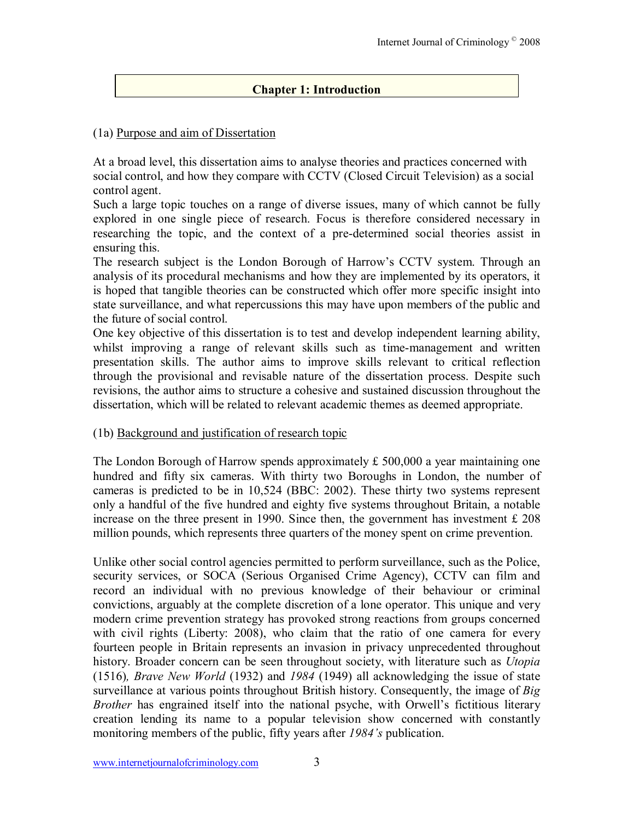# **Chapter 1: Introduction**

# (1a) Purpose and aim of Dissertation

At a broad level, this dissertation aims to analyse theories and practices concerned with social control, and how they compare with CCTV (Closed Circuit Television) as a social control agent.

Such a large topic touches on a range of diverse issues, many of which cannot be fully explored in one single piece of research. Focus is therefore considered necessary in researching the topic, and the context of a pre-determined social theories assist in ensuring this.

The research subject is the London Borough of Harrow's CCTV system. Through an analysis of its procedural mechanisms and how they are implemented by its operators, it is hoped that tangible theories can be constructed which offer more specific insight into state surveillance, and what repercussions this may have upon members of the public and the future of social control.

One key objective of this dissertation is to test and develop independent learning ability, whilst improving a range of relevant skills such as time-management and written presentation skills. The author aims to improve skills relevant to critical reflection through the provisional and revisable nature of the dissertation process. Despite such revisions, the author aims to structure a cohesive and sustained discussion throughout the dissertation, which will be related to relevant academic themes as deemed appropriate.

# (1b) Background and justification of research topic

The London Borough of Harrow spends approximately £ 500,000 a year maintaining one hundred and fifty six cameras. With thirty two Boroughs in London, the number of cameras is predicted to be in 10,524 (BBC: 2002). These thirty two systems represent only a handful of the five hundred and eighty five systems throughout Britain, a notable increase on the three present in 1990. Since then, the government has investment £ 208 million pounds, which represents three quarters of the money spent on crime prevention.

Unlike other social control agencies permitted to perform surveillance, such as the Police, security services, or SOCA (Serious Organised Crime Agency), CCTV can film and record an individual with no previous knowledge of their behaviour or criminal convictions, arguably at the complete discretion of a lone operator. This unique and very modern crime prevention strategy has provoked strong reactions from groups concerned with civil rights (Liberty: 2008), who claim that the ratio of one camera for every fourteen people in Britain represents an invasion in privacy unprecedented throughout history. Broader concern can be seen throughout society, with literature such as *Utopia*  (1516)*, Brave New World* (1932) and *1984* (1949) all acknowledging the issue of state surveillance at various points throughout British history. Consequently, the image of *Big Brother* has engrained itself into the national psyche, with Orwell's fictitious literary creation lending its name to a popular television show concerned with constantly monitoring members of the public, fifty years after 1984's publication.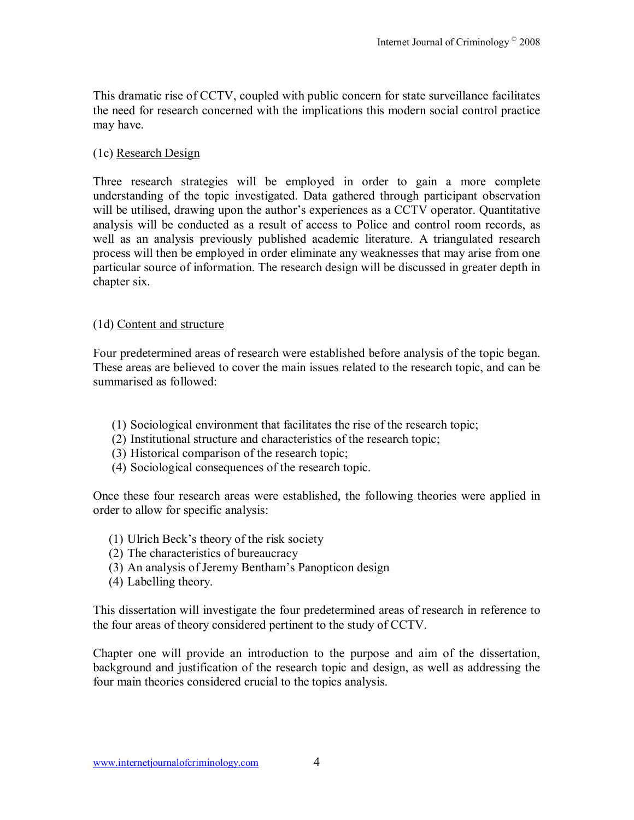This dramatic rise of CCTV, coupled with public concern for state surveillance facilitates the need for research concerned with the implications this modern social control practice may have.

## (1c) Research Design

Three research strategies will be employed in order to gain a more complete understanding of the topic investigated. Data gathered through participant observation will be utilised, drawing upon the author's experiences as a CCTV operator. Quantitative analysis will be conducted as a result of access to Police and control room records, as well as an analysis previously published academic literature. A triangulated research process will then be employed in order eliminate any weaknesses that may arise from one particular source of information. The research design will be discussed in greater depth in chapter six.

# (1d) Content and structure

Four predetermined areas of research were established before analysis of the topic began. These areas are believed to cover the main issues related to the research topic, and can be summarised as followed:

- (1) Sociological environment that facilitates the rise of the research topic;
- (2) Institutional structure and characteristics of the research topic;
- (3) Historical comparison of the research topic;
- (4) Sociological consequences of the research topic.

Once these four research areas were established, the following theories were applied in order to allow for specific analysis:

- $(1)$  Ulrich Beck's theory of the risk society
- (2) The characteristics of bureaucracy
- (3) An analysis of Jeremy Bentham's Panopticon design
- (4) Labelling theory.

This dissertation will investigate the four predetermined areas of research in reference to the four areas of theory considered pertinent to the study of CCTV.

Chapter one will provide an introduction to the purpose and aim of the dissertation, background and justification of the research topic and design, as well as addressing the four main theories considered crucial to the topics analysis.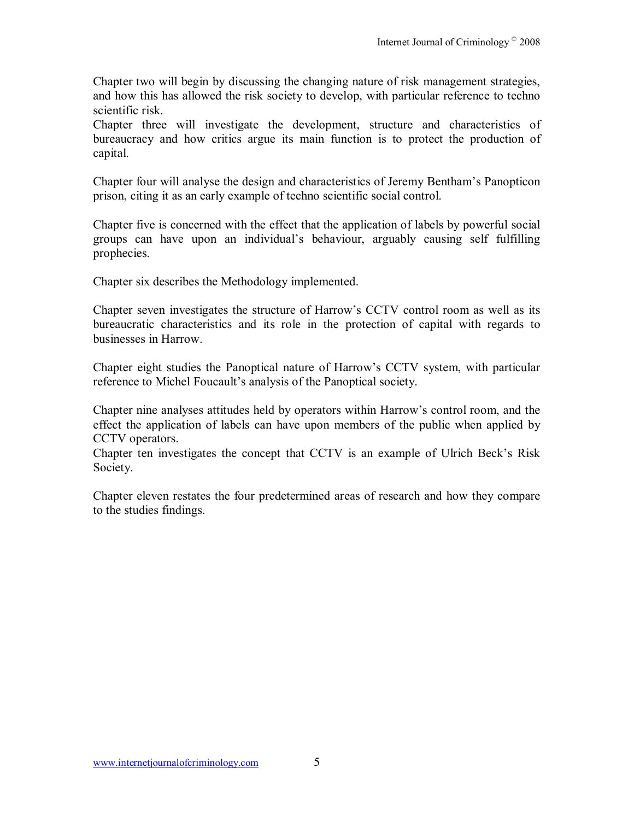Chapter two will begin by discussing the changing nature of risk management strategies, and how this has allowed the risk society to develop, with particular reference to techno scientific risk.

Chapter three will investigate the development, structure and characteristics of bureaucracy and how critics argue its main function is to protect the production of capital.

Chapter four will analyse the design and characteristics of Jeremy Bentham's Panopticon prison, citing it as an early example of techno scientific social control.

Chapter five is concerned with the effect that the application of labels by powerful social groups can have upon an individual's behaviour, arguably causing self fulfilling prophecies.

Chapter six describes the Methodology implemented.

Chapter seven investigates the structure of Harrow's CCTV control room as well as its bureaucratic characteristics and its role in the protection of capital with regards to businesses in Harrow.

Chapter eight studies the Panoptical nature of Harrow's CCTV system, with particular reference to Michel Foucault's analysis of the Panoptical society.

Chapter nine analyses attitudes held by operators within Harrow's control room, and the effect the application of labels can have upon members of the public when applied by CCTV operators.

Chapter ten investigates the concept that CCTV is an example of Ulrich Beck's Risk Society.

Chapter eleven restates the four predetermined areas of research and how they compare to the studies findings.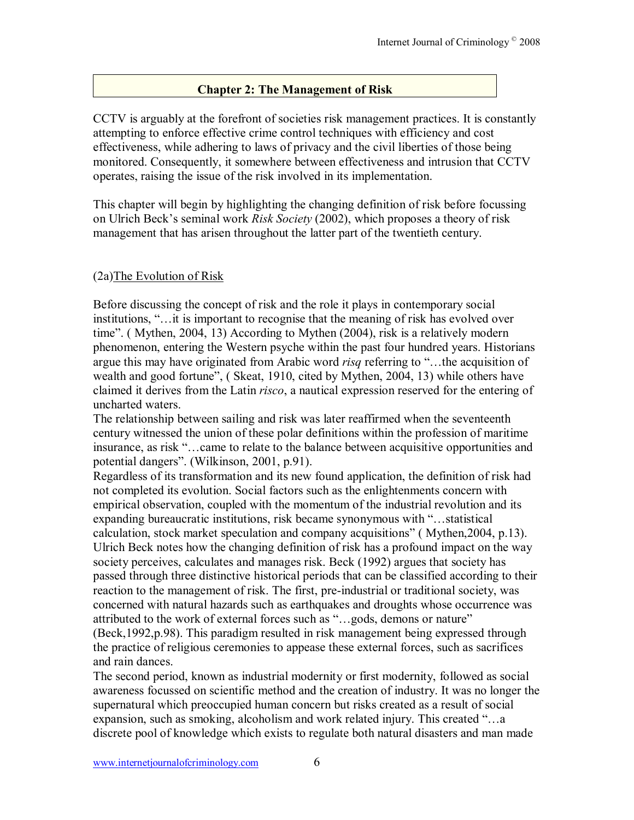# **Chapter 2: The Management of Risk**

CCTV is arguably at the forefront of societies risk management practices. It is constantly attempting to enforce effective crime control techniques with efficiency and cost effectiveness, while adhering to laws of privacy and the civil liberties of those being monitored. Consequently, it somewhere between effectiveness and intrusion that CCTV operates, raising the issue of the risk involved in its implementation.

This chapter will begin by highlighting the changing definition of risk before focussing on Ulrich Beckís seminal work *Risk Society* (2002), which proposes a theory of risk management that has arisen throughout the latter part of the twentieth century.

# (2a)The Evolution of Risk

Before discussing the concept of risk and the role it plays in contemporary social institutions, "... it is important to recognise that the meaning of risk has evolved over time". (Mythen, 2004, 13) According to Mythen (2004), risk is a relatively modern phenomenon, entering the Western psyche within the past four hundred years. Historians argue this may have originated from Arabic word *risq* referring to "...the acquisition of wealth and good fortune", (Skeat, 1910, cited by Mythen, 2004, 13) while others have claimed it derives from the Latin *risco*, a nautical expression reserved for the entering of uncharted waters.

The relationship between sailing and risk was later reaffirmed when the seventeenth century witnessed the union of these polar definitions within the profession of maritime insurance, as risk "...came to relate to the balance between acquisitive opportunities and potential dangers". (Wilkinson, 2001, p.91).

Regardless of its transformation and its new found application, the definition of risk had not completed its evolution. Social factors such as the enlightenments concern with empirical observation, coupled with the momentum of the industrial revolution and its expanding bureaucratic institutions, risk became synonymous with "...statistical calculation, stock market speculation and company acquisitions" (Mythen, 2004, p.13). Ulrich Beck notes how the changing definition of risk has a profound impact on the way society perceives, calculates and manages risk. Beck (1992) argues that society has passed through three distinctive historical periods that can be classified according to their reaction to the management of risk. The first, pre-industrial or traditional society, was concerned with natural hazards such as earthquakes and droughts whose occurrence was attributed to the work of external forces such as "...gods, demons or nature" (Beck,1992,p.98). This paradigm resulted in risk management being expressed through the practice of religious ceremonies to appease these external forces, such as sacrifices and rain dances.

The second period, known as industrial modernity or first modernity, followed as social awareness focussed on scientific method and the creation of industry. It was no longer the supernatural which preoccupied human concern but risks created as a result of social expansion, such as smoking, alcoholism and work related injury. This created  $\ldots$  a discrete pool of knowledge which exists to regulate both natural disasters and man made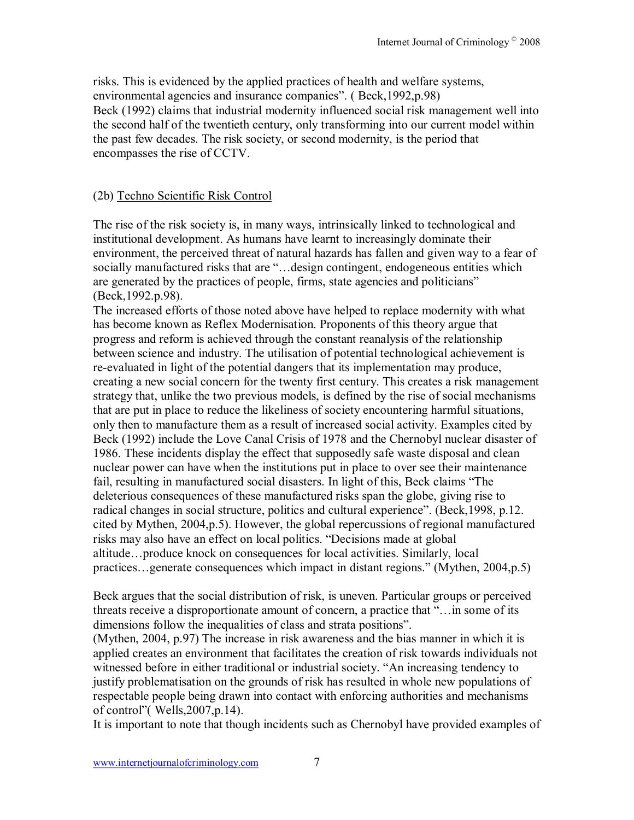risks. This is evidenced by the applied practices of health and welfare systems, environmental agencies and insurance companies". (Beck, 1992, p.98) Beck (1992) claims that industrial modernity influenced social risk management well into the second half of the twentieth century, only transforming into our current model within the past few decades. The risk society, or second modernity, is the period that encompasses the rise of CCTV.

# (2b) Techno Scientific Risk Control

The rise of the risk society is, in many ways, intrinsically linked to technological and institutional development. As humans have learnt to increasingly dominate their environment, the perceived threat of natural hazards has fallen and given way to a fear of socially manufactured risks that are "...design contingent, endogeneous entities which are generated by the practices of people, firms, state agencies and politicians" (Beck,1992.p.98).

The increased efforts of those noted above have helped to replace modernity with what has become known as Reflex Modernisation. Proponents of this theory argue that progress and reform is achieved through the constant reanalysis of the relationship between science and industry. The utilisation of potential technological achievement is re-evaluated in light of the potential dangers that its implementation may produce, creating a new social concern for the twenty first century. This creates a risk management strategy that, unlike the two previous models, is defined by the rise of social mechanisms that are put in place to reduce the likeliness of society encountering harmful situations, only then to manufacture them as a result of increased social activity. Examples cited by Beck (1992) include the Love Canal Crisis of 1978 and the Chernobyl nuclear disaster of 1986. These incidents display the effect that supposedly safe waste disposal and clean nuclear power can have when the institutions put in place to over see their maintenance fail, resulting in manufactured social disasters. In light of this, Beck claims "The deleterious consequences of these manufactured risks span the globe, giving rise to radical changes in social structure, politics and cultural experience". (Beck, 1998, p.12.) cited by Mythen, 2004,p.5). However, the global repercussions of regional manufactured risks may also have an effect on local politics. "Decisions made at global altitude...produce knock on consequences for local activities. Similarly, local practices $\ldots$  generate consequences which impact in distant regions." (Mythen, 2004,p.5)

Beck argues that the social distribution of risk, is uneven. Particular groups or perceived threats receive a disproportionate amount of concern, a practice that  $\ldots$  in some of its dimensions follow the inequalities of class and strata positions".

(Mythen, 2004, p.97) The increase in risk awareness and the bias manner in which it is applied creates an environment that facilitates the creation of risk towards individuals not witnessed before in either traditional or industrial society. "An increasing tendency to justify problematisation on the grounds of risk has resulted in whole new populations of respectable people being drawn into contact with enforcing authorities and mechanisms of control"( $Wells, 2007, p.14$ ).

It is important to note that though incidents such as Chernobyl have provided examples of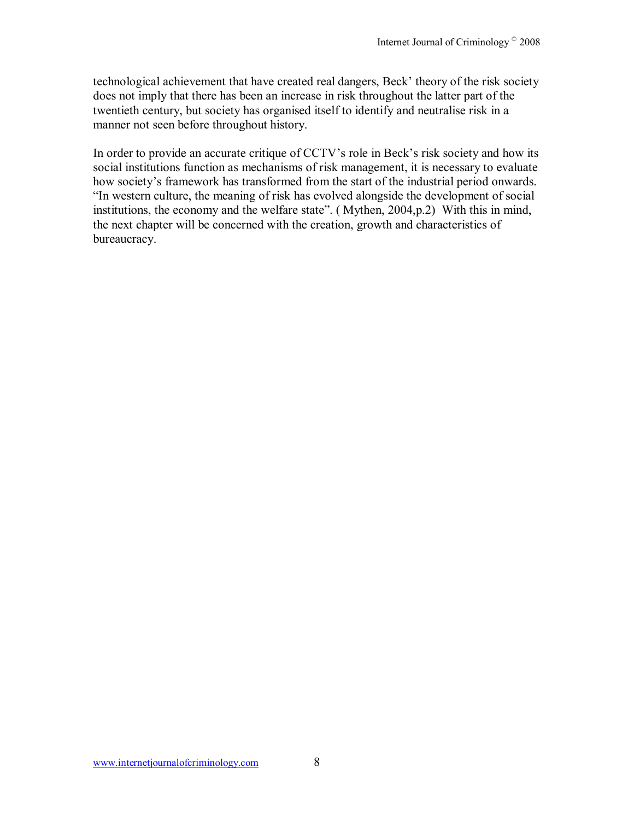technological achievement that have created real dangers, Beck' theory of the risk society does not imply that there has been an increase in risk throughout the latter part of the twentieth century, but society has organised itself to identify and neutralise risk in a manner not seen before throughout history.

In order to provide an accurate critique of CCTV's role in Beck's risk society and how its social institutions function as mechanisms of risk management, it is necessary to evaluate how society's framework has transformed from the start of the industrial period onwards. "In western culture, the meaning of risk has evolved alongside the development of social institutions, the economy and the welfare state". (Mythen,  $2004$ , p.2) With this in mind, the next chapter will be concerned with the creation, growth and characteristics of bureaucracy.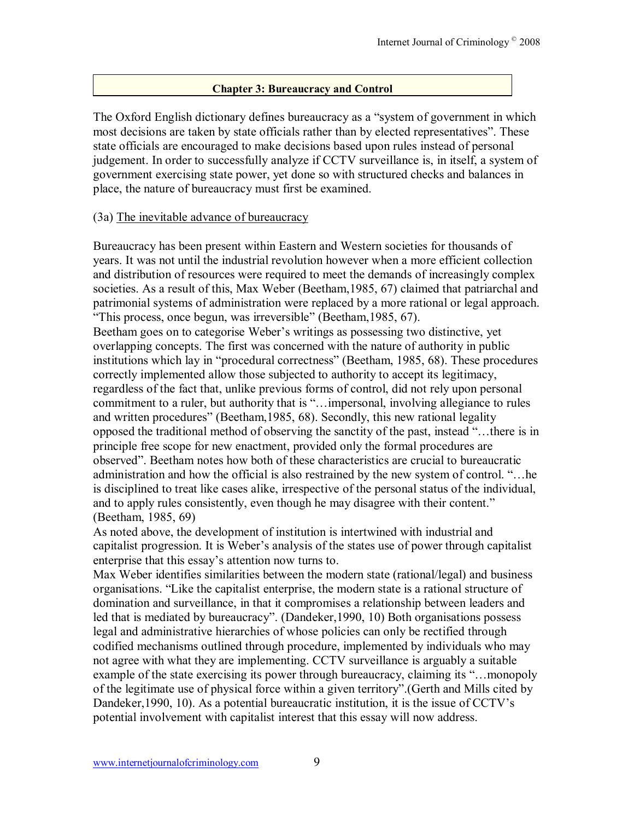# **Chapter 3: Bureaucracy and Control**

The Oxford English dictionary defines bureaucracy as a "system of government in which most decisions are taken by state officials rather than by elected representatives". These state officials are encouraged to make decisions based upon rules instead of personal judgement. In order to successfully analyze if CCTV surveillance is, in itself, a system of government exercising state power, yet done so with structured checks and balances in place, the nature of bureaucracy must first be examined.

# (3a) The inevitable advance of bureaucracy

Bureaucracy has been present within Eastern and Western societies for thousands of years. It was not until the industrial revolution however when a more efficient collection and distribution of resources were required to meet the demands of increasingly complex societies. As a result of this, Max Weber (Beetham,1985, 67) claimed that patriarchal and patrimonial systems of administration were replaced by a more rational or legal approach. "This process, once begun, was irreversible" (Beetham, 1985, 67).

Beetham goes on to categorise Weber's writings as possessing two distinctive, yet overlapping concepts. The first was concerned with the nature of authority in public institutions which lay in "procedural correctness" (Beetham, 1985, 68). These procedures correctly implemented allow those subjected to authority to accept its legitimacy, regardless of the fact that, unlike previous forms of control, did not rely upon personal commitment to a ruler, but authority that is "... impersonal, involving allegiance to rules and written procedures" (Beetham, 1985, 68). Secondly, this new rational legality opposed the traditional method of observing the sanctity of the past, instead "...there is in principle free scope for new enactment, provided only the formal procedures are observedî. Beetham notes how both of these characteristics are crucial to bureaucratic administration and how the official is also restrained by the new system of control. "... he is disciplined to treat like cases alike, irrespective of the personal status of the individual, and to apply rules consistently, even though he may disagree with their content." (Beetham, 1985, 69)

As noted above, the development of institution is intertwined with industrial and capitalist progression. It is Weber's analysis of the states use of power through capitalist enterprise that this essay's attention now turns to.

Max Weber identifies similarities between the modern state (rational/legal) and business organisations. "Like the capitalist enterprise, the modern state is a rational structure of domination and surveillance, in that it compromises a relationship between leaders and led that is mediated by bureaucracy". (Dandeker, 1990, 10) Both organisations possess legal and administrative hierarchies of whose policies can only be rectified through codified mechanisms outlined through procedure, implemented by individuals who may not agree with what they are implementing. CCTV surveillance is arguably a suitable example of the state exercising its power through bureaucracy, claiming its "...monopoly of the legitimate use of physical force within a given territory". (Gerth and Mills cited by Dandeker, 1990, 10). As a potential bureaucratic institution, it is the issue of CCTV's potential involvement with capitalist interest that this essay will now address.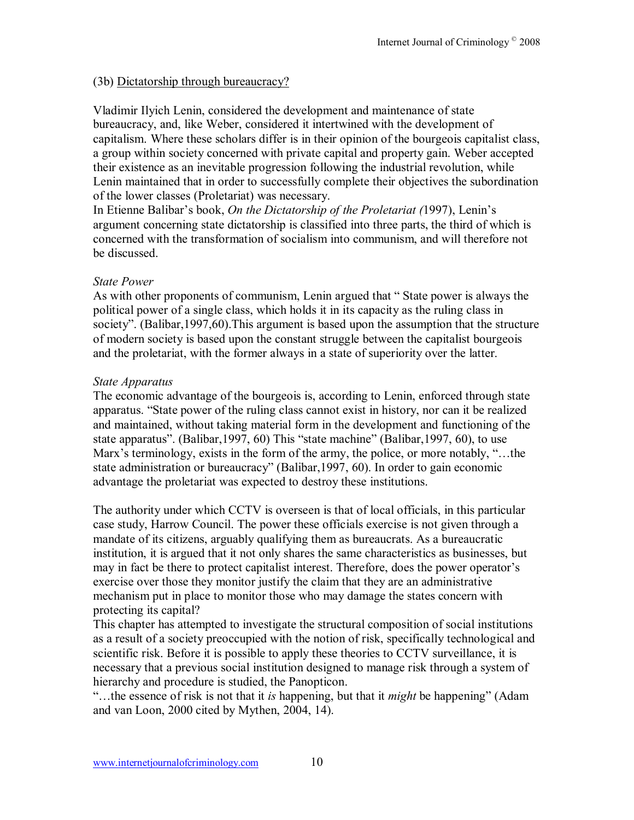# (3b) Dictatorship through bureaucracy?

Vladimir Ilyich Lenin, considered the development and maintenance of state bureaucracy, and, like Weber, considered it intertwined with the development of capitalism. Where these scholars differ is in their opinion of the bourgeois capitalist class, a group within society concerned with private capital and property gain. Weber accepted their existence as an inevitable progression following the industrial revolution, while Lenin maintained that in order to successfully complete their objectives the subordination of the lower classes (Proletariat) was necessary.

In Etienne Balibar's book, *On the Dictatorship of the Proletariat (1997)*, Lenin's argument concerning state dictatorship is classified into three parts, the third of which is concerned with the transformation of socialism into communism, and will therefore not be discussed.

# *State Power*

As with other proponents of communism, Lenin argued that "State power is always the political power of a single class, which holds it in its capacity as the ruling class in society". (Balibar, 1997, 60). This argument is based upon the assumption that the structure of modern society is based upon the constant struggle between the capitalist bourgeois and the proletariat, with the former always in a state of superiority over the latter.

# *State Apparatus*

The economic advantage of the bourgeois is, according to Lenin, enforced through state apparatus. "State power of the ruling class cannot exist in history, nor can it be realized and maintained, without taking material form in the development and functioning of the state apparatus". (Balibar, 1997, 60) This "state machine" (Balibar, 1997, 60), to use Marx's terminology, exists in the form of the army, the police, or more notably, "...the state administration or bureaucracy" (Balibar, 1997, 60). In order to gain economic advantage the proletariat was expected to destroy these institutions.

The authority under which CCTV is overseen is that of local officials, in this particular case study, Harrow Council. The power these officials exercise is not given through a mandate of its citizens, arguably qualifying them as bureaucrats. As a bureaucratic institution, it is argued that it not only shares the same characteristics as businesses, but may in fact be there to protect capitalist interest. Therefore, does the power operator's exercise over those they monitor justify the claim that they are an administrative mechanism put in place to monitor those who may damage the states concern with protecting its capital?

This chapter has attempted to investigate the structural composition of social institutions as a result of a society preoccupied with the notion of risk, specifically technological and scientific risk. Before it is possible to apply these theories to CCTV surveillance, it is necessary that a previous social institution designed to manage risk through a system of hierarchy and procedure is studied, the Panopticon.

ìÖthe essence of risk is not that it *is* happening, but that it *might* be happeningî (Adam and van Loon, 2000 cited by Mythen, 2004, 14).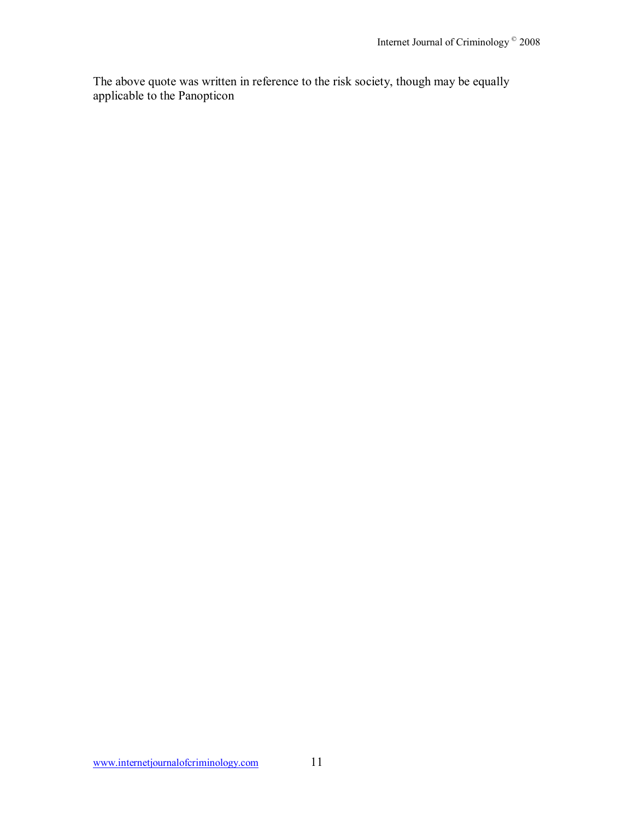The above quote was written in reference to the risk society, though may be equally applicable to the Panopticon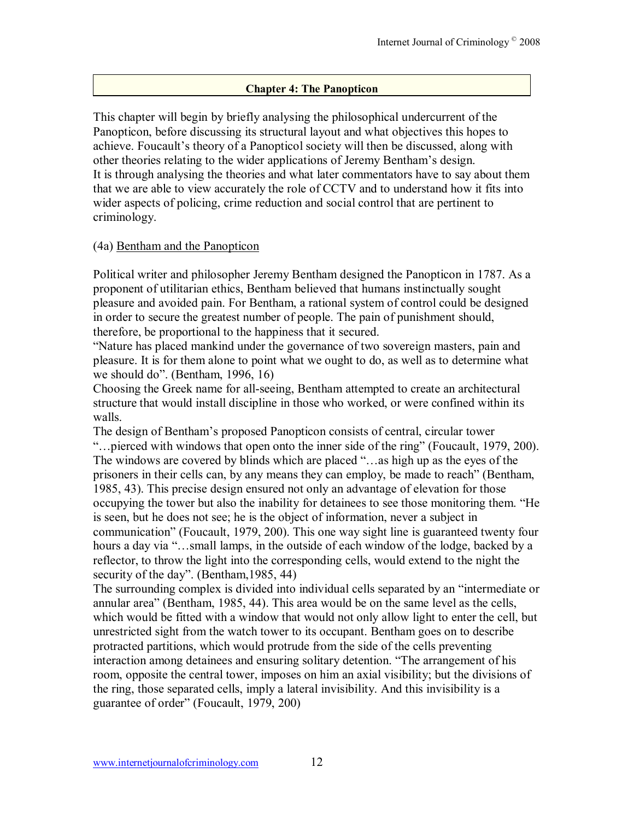## **Chapter 4: The Panopticon**

This chapter will begin by briefly analysing the philosophical undercurrent of the Panopticon, before discussing its structural layout and what objectives this hopes to achieve. Foucault's theory of a Panopticol society will then be discussed, along with other theories relating to the wider applications of Jeremy Bentham's design. It is through analysing the theories and what later commentators have to say about them that we are able to view accurately the role of CCTV and to understand how it fits into wider aspects of policing, crime reduction and social control that are pertinent to criminology.

#### (4a) Bentham and the Panopticon

Political writer and philosopher Jeremy Bentham designed the Panopticon in 1787. As a proponent of utilitarian ethics, Bentham believed that humans instinctually sought pleasure and avoided pain. For Bentham, a rational system of control could be designed in order to secure the greatest number of people. The pain of punishment should, therefore, be proportional to the happiness that it secured.

ìNature has placed mankind under the governance of two sovereign masters, pain and pleasure. It is for them alone to point what we ought to do, as well as to determine what we should do". (Bentham,  $1996, 16$ )

Choosing the Greek name for all-seeing, Bentham attempted to create an architectural structure that would install discipline in those who worked, or were confined within its walls.

The design of Benthamís proposed Panopticon consists of central, circular tower ìÖpierced with windows that open onto the inner side of the ringî (Foucault, 1979, 200). The windows are covered by blinds which are placed "...as high up as the eyes of the prisoners in their cells can, by any means they can employ, be made to reach" (Bentham, 1985, 43). This precise design ensured not only an advantage of elevation for those occupying the tower but also the inability for detainees to see those monitoring them. "He is seen, but he does not see; he is the object of information, never a subject in communication" (Foucault, 1979, 200). This one way sight line is guaranteed twenty four hours a day via "...small lamps, in the outside of each window of the lodge, backed by a reflector, to throw the light into the corresponding cells, would extend to the night the security of the day". (Bentham, 1985, 44)

The surrounding complex is divided into individual cells separated by an "intermediate or annular areaî (Bentham, 1985, 44). This area would be on the same level as the cells, which would be fitted with a window that would not only allow light to enter the cell, but unrestricted sight from the watch tower to its occupant. Bentham goes on to describe protracted partitions, which would protrude from the side of the cells preventing interaction among detainees and ensuring solitary detention. "The arrangement of his room, opposite the central tower, imposes on him an axial visibility; but the divisions of the ring, those separated cells, imply a lateral invisibility. And this invisibility is a guarantee of order" (Foucault, 1979, 200)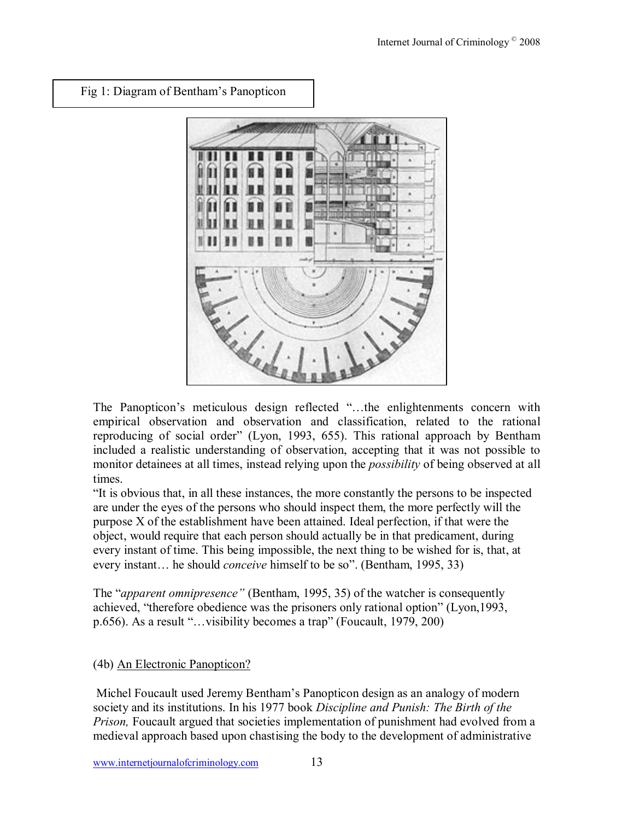Fig 1: Diagram of Bentham's Panopticon



The Panopticon's meticulous design reflected "...the enlightenments concern with empirical observation and observation and classification, related to the rational reproducing of social order" (Lyon, 1993, 655). This rational approach by Bentham included a realistic understanding of observation, accepting that it was not possible to monitor detainees at all times, instead relying upon the *possibility* of being observed at all times.

If it is obvious that, in all these instances, the more constantly the persons to be inspected are under the eyes of the persons who should inspect them, the more perfectly will the purpose X of the establishment have been attained. Ideal perfection, if that were the object, would require that each person should actually be in that predicament, during every instant of time. This being impossible, the next thing to be wished for is, that, at every instant... he should *conceive* himself to be so". (Bentham, 1995, 33)

The "*apparent omnipresence*" (Bentham, 1995, 35) of the watcher is consequently achieved, "therefore obedience was the prisoners only rational option" (Lyon,1993, p.656). As a result " $\dots$ visibility becomes a trap" (Foucault, 1979, 200)

# (4b) An Electronic Panopticon?

 Michel Foucault used Jeremy Benthamís Panopticon design as an analogy of modern society and its institutions. In his 1977 book *Discipline and Punish: The Birth of the Prison,* Foucault argued that societies implementation of punishment had evolved from a medieval approach based upon chastising the body to the development of administrative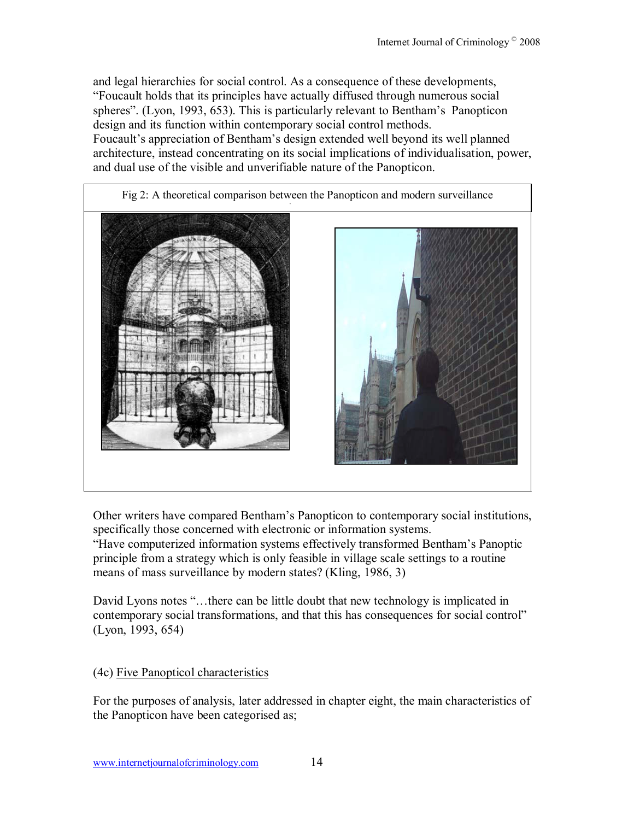and legal hierarchies for social control. As a consequence of these developments, ìFoucault holds that its principles have actually diffused through numerous social spheres". (Lyon, 1993, 653). This is particularly relevant to Bentham's Panopticon design and its function within contemporary social control methods.

Foucault's appreciation of Bentham's design extended well beyond its well planned architecture, instead concentrating on its social implications of individualisation, power, and dual use of the visible and unverifiable nature of the Panopticon.



Other writers have compared Benthamís Panopticon to contemporary social institutions, specifically those concerned with electronic or information systems.

ìHave computerized information systems effectively transformed Benthamís Panoptic principle from a strategy which is only feasible in village scale settings to a routine means of mass surveillance by modern states? (Kling, 1986, 3)

David Lyons notes "...there can be little doubt that new technology is implicated in contemporary social transformations, and that this has consequences for social control" (Lyon, 1993, 654)

# (4c) Five Panopticol characteristics

For the purposes of analysis, later addressed in chapter eight, the main characteristics of the Panopticon have been categorised as;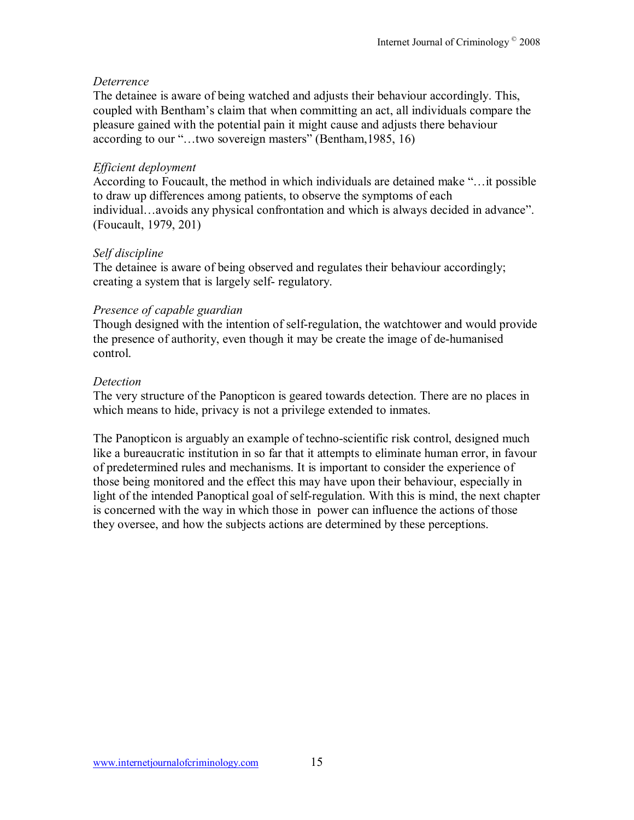# *Deterrence*

The detainee is aware of being watched and adjusts their behaviour accordingly. This, coupled with Bentham's claim that when committing an act, all individuals compare the pleasure gained with the potential pain it might cause and adjusts there behaviour according to our " $\ldots$ two sovereign masters" (Bentham, 1985, 16)

# *Efficient deployment*

According to Foucault, the method in which individuals are detained make  $\cdot \cdot \cdot$  it possible to draw up differences among patients, to observe the symptoms of each individual...avoids any physical confrontation and which is always decided in advance". (Foucault, 1979, 201)

# *Self discipline*

The detainee is aware of being observed and regulates their behaviour accordingly; creating a system that is largely self- regulatory.

# *Presence of capable guardian*

Though designed with the intention of self-regulation, the watchtower and would provide the presence of authority, even though it may be create the image of de-humanised control.

# *Detection*

The very structure of the Panopticon is geared towards detection. There are no places in which means to hide, privacy is not a privilege extended to inmates.

The Panopticon is arguably an example of techno-scientific risk control, designed much like a bureaucratic institution in so far that it attempts to eliminate human error, in favour of predetermined rules and mechanisms. It is important to consider the experience of those being monitored and the effect this may have upon their behaviour, especially in light of the intended Panoptical goal of self-regulation. With this is mind, the next chapter is concerned with the way in which those in power can influence the actions of those they oversee, and how the subjects actions are determined by these perceptions.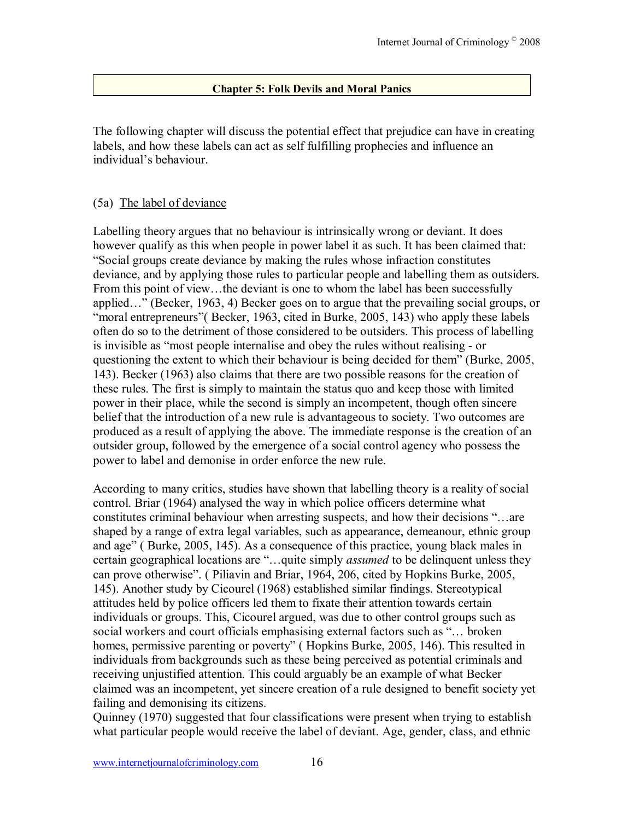## **Chapter 5: Folk Devils and Moral Panics**

The following chapter will discuss the potential effect that prejudice can have in creating labels, and how these labels can act as self fulfilling prophecies and influence an individual's behaviour.

#### (5a) The label of deviance

Labelling theory argues that no behaviour is intrinsically wrong or deviant. It does however qualify as this when people in power label it as such. It has been claimed that: ìSocial groups create deviance by making the rules whose infraction constitutes deviance, and by applying those rules to particular people and labelling them as outsiders. From this point of view...the deviant is one to whom the label has been successfully applied $\ldots$ " (Becker, 1963, 4) Becker goes on to argue that the prevailing social groups, or *imoral entrepreneurs*<sup>*n*</sup> Becker, 1963, cited in Burke, 2005, 143) who apply these labels often do so to the detriment of those considered to be outsiders. This process of labelling is invisible as "most people internalise and obey the rules without realising - or questioning the extent to which their behaviour is being decided for them" (Burke, 2005, 143). Becker (1963) also claims that there are two possible reasons for the creation of these rules. The first is simply to maintain the status quo and keep those with limited power in their place, while the second is simply an incompetent, though often sincere belief that the introduction of a new rule is advantageous to society. Two outcomes are produced as a result of applying the above. The immediate response is the creation of an outsider group, followed by the emergence of a social control agency who possess the power to label and demonise in order enforce the new rule.

According to many critics, studies have shown that labelling theory is a reality of social control. Briar (1964) analysed the way in which police officers determine what constitutes criminal behaviour when arresting suspects, and how their decisions "...are shaped by a range of extra legal variables, such as appearance, demeanour, ethnic group and age" (Burke, 2005, 145). As a consequence of this practice, young black males in certain geographical locations are "...quite simply *assumed* to be delinquent unless they can prove otherwiseî. ( Piliavin and Briar, 1964, 206, cited by Hopkins Burke, 2005, 145). Another study by Cicourel (1968) established similar findings. Stereotypical attitudes held by police officers led them to fixate their attention towards certain individuals or groups. This, Cicourel argued, was due to other control groups such as social workers and court officials emphasising external factors such as "... broken homes, permissive parenting or poverty" (Hopkins Burke, 2005, 146). This resulted in individuals from backgrounds such as these being perceived as potential criminals and receiving unjustified attention. This could arguably be an example of what Becker claimed was an incompetent, yet sincere creation of a rule designed to benefit society yet failing and demonising its citizens.

Quinney (1970) suggested that four classifications were present when trying to establish what particular people would receive the label of deviant. Age, gender, class, and ethnic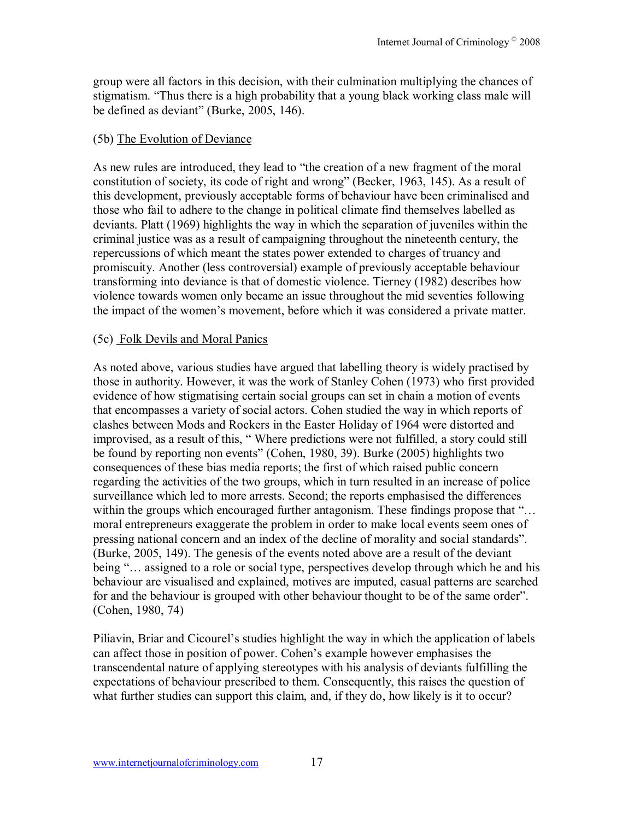group were all factors in this decision, with their culmination multiplying the chances of stigmatism. "Thus there is a high probability that a young black working class male will be defined as deviant" (Burke, 2005, 146).

# (5b) The Evolution of Deviance

As new rules are introduced, they lead to "the creation of a new fragment of the moral constitution of society, its code of right and wrong" (Becker, 1963, 145). As a result of this development, previously acceptable forms of behaviour have been criminalised and those who fail to adhere to the change in political climate find themselves labelled as deviants. Platt (1969) highlights the way in which the separation of juveniles within the criminal justice was as a result of campaigning throughout the nineteenth century, the repercussions of which meant the states power extended to charges of truancy and promiscuity. Another (less controversial) example of previously acceptable behaviour transforming into deviance is that of domestic violence. Tierney (1982) describes how violence towards women only became an issue throughout the mid seventies following the impact of the women's movement, before which it was considered a private matter.

# (5c) Folk Devils and Moral Panics

As noted above, various studies have argued that labelling theory is widely practised by those in authority. However, it was the work of Stanley Cohen (1973) who first provided evidence of how stigmatising certain social groups can set in chain a motion of events that encompasses a variety of social actors. Cohen studied the way in which reports of clashes between Mods and Rockers in the Easter Holiday of 1964 were distorted and improvised, as a result of this, "Where predictions were not fulfilled, a story could still be found by reporting non events" (Cohen, 1980, 39). Burke (2005) highlights two consequences of these bias media reports; the first of which raised public concern regarding the activities of the two groups, which in turn resulted in an increase of police surveillance which led to more arrests. Second; the reports emphasised the differences within the groups which encouraged further antagonism. These findings propose that  $\hat{\mathcal{C}}$ . moral entrepreneurs exaggerate the problem in order to make local events seem ones of pressing national concern and an index of the decline of morality and social standardsî. (Burke, 2005, 149). The genesis of the events noted above are a result of the deviant being "... assigned to a role or social type, perspectives develop through which he and his behaviour are visualised and explained, motives are imputed, casual patterns are searched for and the behaviour is grouped with other behaviour thought to be of the same order". (Cohen, 1980, 74)

Piliavin, Briar and Cicourel's studies highlight the way in which the application of labels can affect those in position of power. Cohen's example however emphasises the transcendental nature of applying stereotypes with his analysis of deviants fulfilling the expectations of behaviour prescribed to them. Consequently, this raises the question of what further studies can support this claim, and, if they do, how likely is it to occur?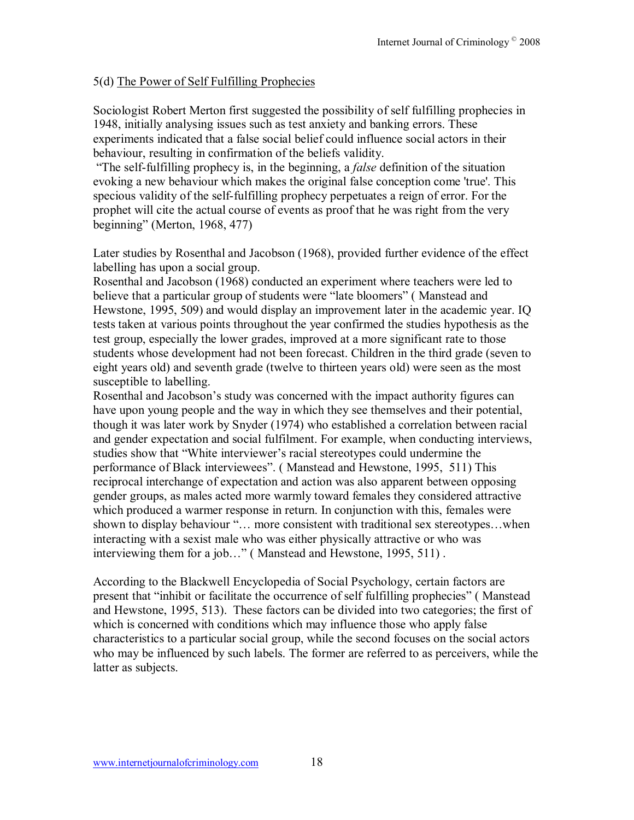# 5(d) The Power of Self Fulfilling Prophecies

Sociologist Robert Merton first suggested the possibility of self fulfilling prophecies in 1948, initially analysing issues such as test anxiety and banking errors. These experiments indicated that a false social belief could influence social actors in their behaviour, resulting in confirmation of the beliefs validity.

 ìThe self-fulfilling prophecy is, in the beginning, a *false* definition of the situation evoking a new behaviour which makes the original false conception come 'true'. This specious validity of the self-fulfilling prophecy perpetuates a reign of error. For the prophet will cite the actual course of events as proof that he was right from the very beginning" (Merton, 1968, 477)

Later studies by Rosenthal and Jacobson (1968), provided further evidence of the effect labelling has upon a social group.

Rosenthal and Jacobson (1968) conducted an experiment where teachers were led to believe that a particular group of students were "late bloomers" (Manstead and Hewstone, 1995, 509) and would display an improvement later in the academic year. IQ tests taken at various points throughout the year confirmed the studies hypothesis as the test group, especially the lower grades, improved at a more significant rate to those students whose development had not been forecast. Children in the third grade (seven to eight years old) and seventh grade (twelve to thirteen years old) were seen as the most susceptible to labelling.

Rosenthal and Jacobson's study was concerned with the impact authority figures can have upon young people and the way in which they see themselves and their potential, though it was later work by Snyder (1974) who established a correlation between racial and gender expectation and social fulfilment. For example, when conducting interviews, studies show that "White interviewer's racial stereotypes could undermine the performance of Black interviewees". (Manstead and Hewstone, 1995, 511) This reciprocal interchange of expectation and action was also apparent between opposing gender groups, as males acted more warmly toward females they considered attractive which produced a warmer response in return. In conjunction with this, females were shown to display behaviour "... more consistent with traditional sex stereotypes...when interacting with a sexist male who was either physically attractive or who was interviewing them for a job $\ldots$ " (Manstead and Hewstone, 1995, 511).

According to the Blackwell Encyclopedia of Social Psychology, certain factors are present that "inhibit or facilitate the occurrence of self fulfilling prophecies" (Manstead and Hewstone, 1995, 513). These factors can be divided into two categories; the first of which is concerned with conditions which may influence those who apply false characteristics to a particular social group, while the second focuses on the social actors who may be influenced by such labels. The former are referred to as perceivers, while the latter as subjects.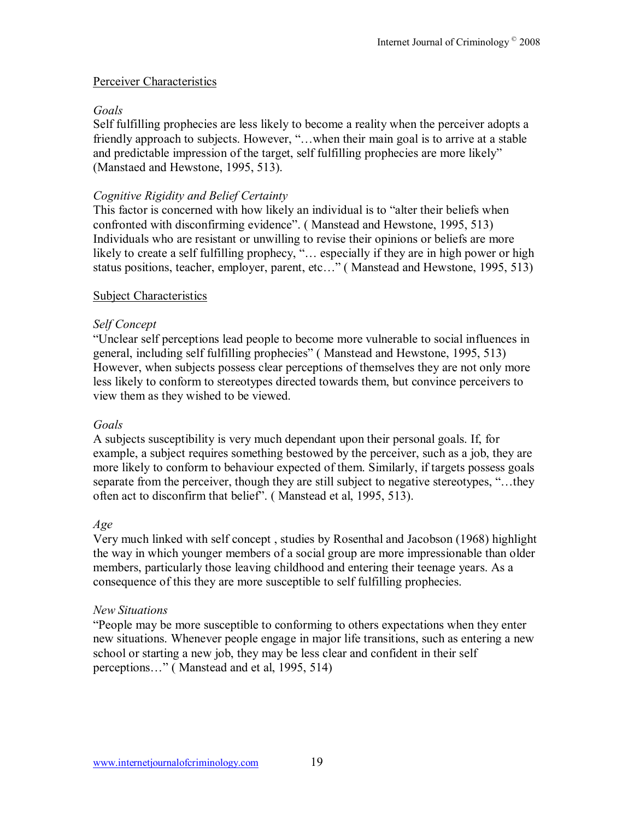## Perceiver Characteristics

## *Goals*

Self fulfilling prophecies are less likely to become a reality when the perceiver adopts a friendly approach to subjects. However, "...when their main goal is to arrive at a stable and predictable impression of the target, self fulfilling prophecies are more likely" (Manstaed and Hewstone, 1995, 513).

## *Cognitive Rigidity and Belief Certainty*

This factor is concerned with how likely an individual is to "alter their beliefs when confronted with disconfirming evidence". (Manstead and Hewstone, 1995, 513) Individuals who are resistant or unwilling to revise their opinions or beliefs are more likely to create a self fulfilling prophecy,  $\hat{C}$ ... especially if they are in high power or high status positions, teacher, employer, parent, etc..." (Manstead and Hewstone, 1995, 513)

## Subject Characteristics

# *Self Concept*

ìUnclear self perceptions lead people to become more vulnerable to social influences in general, including self fulfilling prophecies" (Manstead and Hewstone, 1995, 513) However, when subjects possess clear perceptions of themselves they are not only more less likely to conform to stereotypes directed towards them, but convince perceivers to view them as they wished to be viewed.

#### *Goals*

A subjects susceptibility is very much dependant upon their personal goals. If, for example, a subject requires something bestowed by the perceiver, such as a job, they are more likely to conform to behaviour expected of them. Similarly, if targets possess goals separate from the perceiver, though they are still subject to negative stereotypes, "...they often act to disconfirm that belief". (Manstead et al, 1995, 513).

#### *Age*

Very much linked with self concept , studies by Rosenthal and Jacobson (1968) highlight the way in which younger members of a social group are more impressionable than older members, particularly those leaving childhood and entering their teenage years. As a consequence of this they are more susceptible to self fulfilling prophecies.

#### *New Situations*

ìPeople may be more susceptible to conforming to others expectations when they enter new situations. Whenever people engage in major life transitions, such as entering a new school or starting a new job, they may be less clear and confident in their self perceptions..." (Manstead and et al, 1995, 514)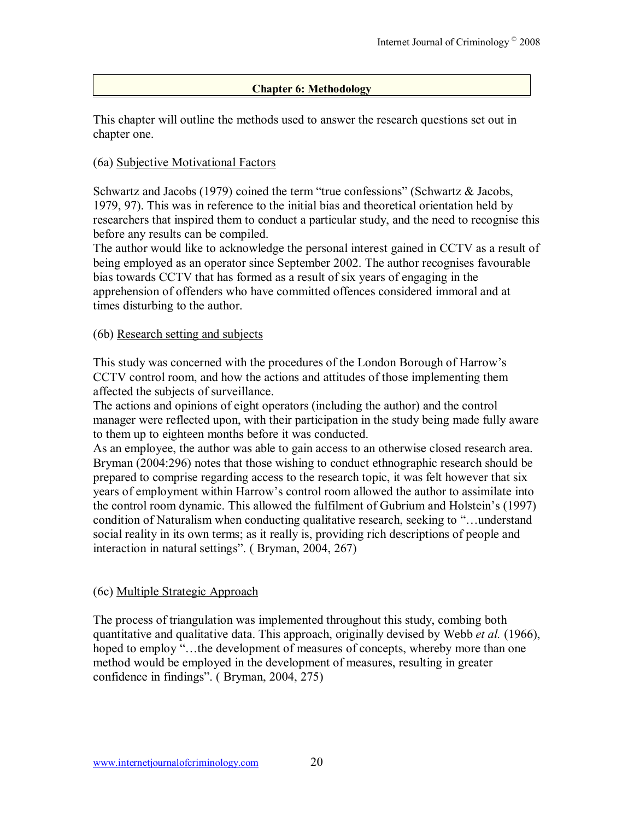## **Chapter 6: Methodology**

This chapter will outline the methods used to answer the research questions set out in chapter one.

#### (6a) Subjective Motivational Factors

Schwartz and Jacobs (1979) coined the term "true confessions" (Schwartz  $\&$  Jacobs, 1979, 97). This was in reference to the initial bias and theoretical orientation held by researchers that inspired them to conduct a particular study, and the need to recognise this before any results can be compiled.

The author would like to acknowledge the personal interest gained in CCTV as a result of being employed as an operator since September 2002. The author recognises favourable bias towards CCTV that has formed as a result of six years of engaging in the apprehension of offenders who have committed offences considered immoral and at times disturbing to the author.

#### (6b) Research setting and subjects

This study was concerned with the procedures of the London Borough of Harrow's CCTV control room, and how the actions and attitudes of those implementing them affected the subjects of surveillance.

The actions and opinions of eight operators (including the author) and the control manager were reflected upon, with their participation in the study being made fully aware to them up to eighteen months before it was conducted.

As an employee, the author was able to gain access to an otherwise closed research area. Bryman (2004:296) notes that those wishing to conduct ethnographic research should be prepared to comprise regarding access to the research topic, it was felt however that six years of employment within Harrow's control room allowed the author to assimilate into the control room dynamic. This allowed the fulfilment of Gubrium and Holstein's (1997) condition of Naturalism when conducting qualitative research, seeking to "...understand" social reality in its own terms; as it really is, providing rich descriptions of people and interaction in natural settings". (Bryman,  $2004$ ,  $267$ )

# (6c) Multiple Strategic Approach

The process of triangulation was implemented throughout this study, combing both quantitative and qualitative data. This approach, originally devised by Webb *et al.* (1966), hoped to employ "...the development of measures of concepts, whereby more than one method would be employed in the development of measures, resulting in greater confidence in findings". (Bryman, 2004, 275)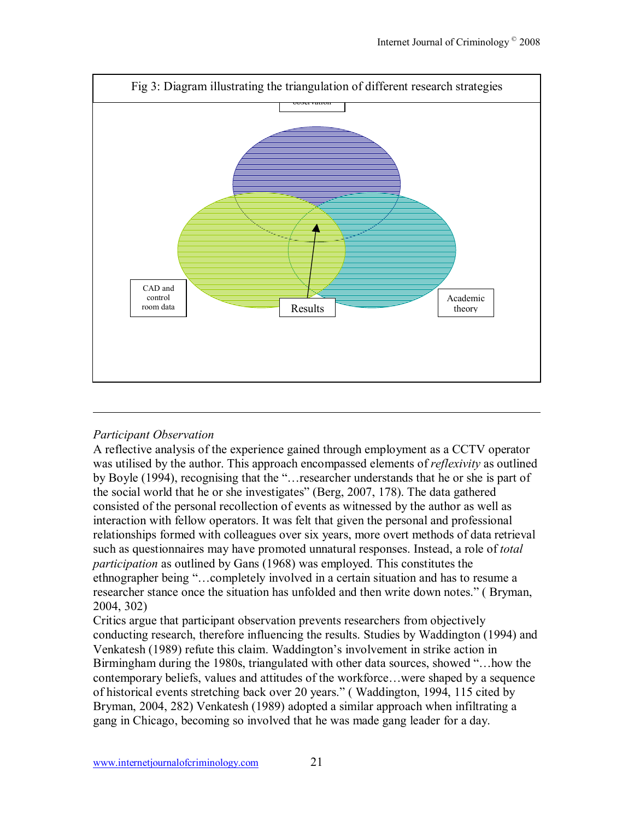

# *Participant Observation*

A reflective analysis of the experience gained through employment as a CCTV operator was utilised by the author. This approach encompassed elements of *reflexivity* as outlined by Boyle (1994), recognising that the "... researcher understands that he or she is part of the social world that he or she investigates" (Berg, 2007, 178). The data gathered consisted of the personal recollection of events as witnessed by the author as well as interaction with fellow operators. It was felt that given the personal and professional relationships formed with colleagues over six years, more overt methods of data retrieval such as questionnaires may have promoted unnatural responses. Instead, a role of *total participation* as outlined by Gans (1968) was employed. This constitutes the ethnographer being "...completely involved in a certain situation and has to resume a researcher stance once the situation has unfolded and then write down notes." (Bryman, 2004, 302)

Critics argue that participant observation prevents researchers from objectively conducting research, therefore influencing the results. Studies by Waddington (1994) and Venkatesh (1989) refute this claim. Waddington's involvement in strike action in Birmingham during the 1980s, triangulated with other data sources, showed "... how the contemporary beliefs, values and attitudes of the workforce...were shaped by a sequence of historical events stretching back over 20 years." (Waddington, 1994, 115 cited by Bryman, 2004, 282) Venkatesh (1989) adopted a similar approach when infiltrating a gang in Chicago, becoming so involved that he was made gang leader for a day.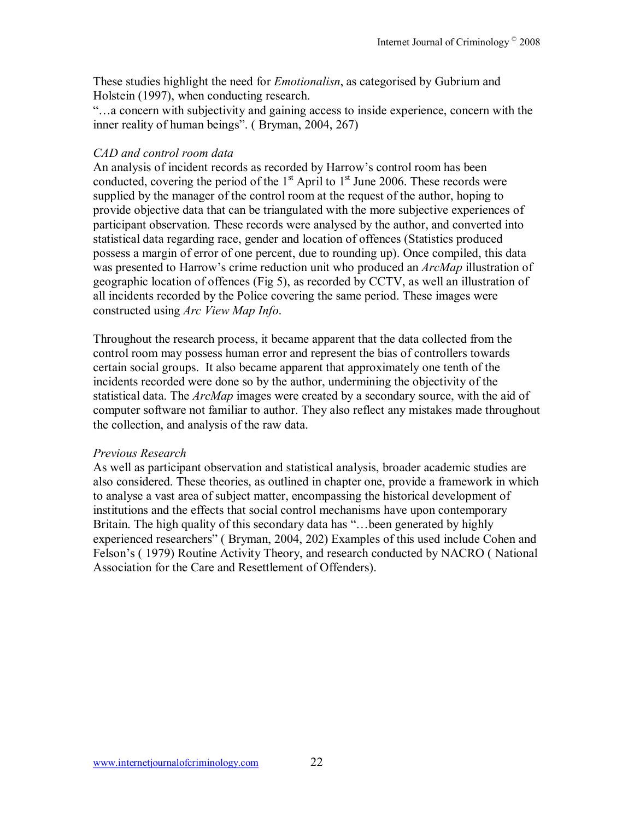These studies highlight the need for *Emotionalisn*, as categorised by Gubrium and Holstein (1997), when conducting research.

 $\ldots$  a concern with subjectivity and gaining access to inside experience, concern with the inner reality of human beings". (Bryman, 2004, 267)

# *CAD and control room data*

An analysis of incident records as recorded by Harrow's control room has been conducted, covering the period of the  $1<sup>st</sup>$  April to  $1<sup>st</sup>$  June 2006. These records were supplied by the manager of the control room at the request of the author, hoping to provide objective data that can be triangulated with the more subjective experiences of participant observation. These records were analysed by the author, and converted into statistical data regarding race, gender and location of offences (Statistics produced possess a margin of error of one percent, due to rounding up). Once compiled, this data was presented to Harrow's crime reduction unit who produced an *ArcMap* illustration of geographic location of offences (Fig 5), as recorded by CCTV, as well an illustration of all incidents recorded by the Police covering the same period. These images were constructed using *Arc View Map Info*.

Throughout the research process, it became apparent that the data collected from the control room may possess human error and represent the bias of controllers towards certain social groups. It also became apparent that approximately one tenth of the incidents recorded were done so by the author, undermining the objectivity of the statistical data. The *ArcMap* images were created by a secondary source, with the aid of computer software not familiar to author. They also reflect any mistakes made throughout the collection, and analysis of the raw data.

# *Previous Research*

As well as participant observation and statistical analysis, broader academic studies are also considered. These theories, as outlined in chapter one, provide a framework in which to analyse a vast area of subject matter, encompassing the historical development of institutions and the effects that social control mechanisms have upon contemporary Britain. The high quality of this secondary data has "... been generated by highly experienced researchers" (Bryman, 2004, 202) Examples of this used include Cohen and Felson's (1979) Routine Activity Theory, and research conducted by NACRO (National Association for the Care and Resettlement of Offenders).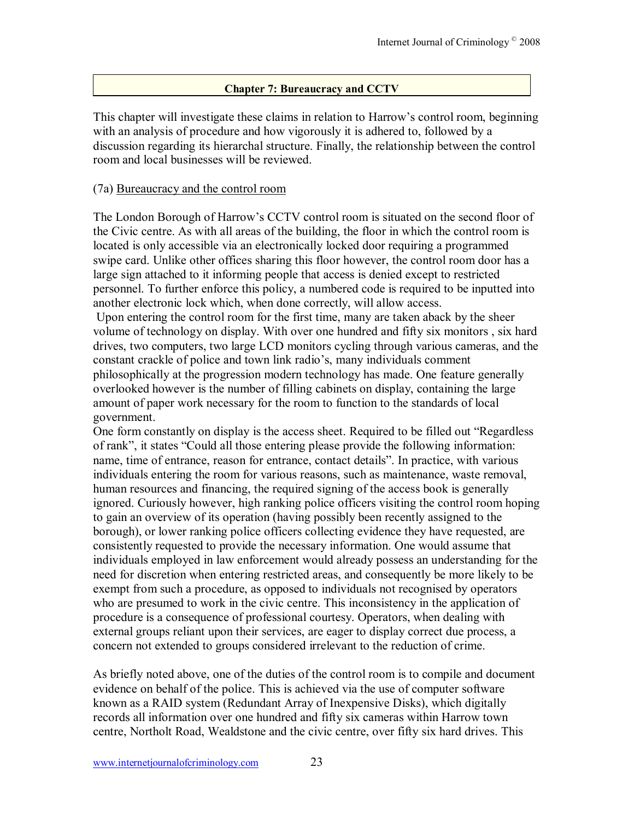## **Chapter 7: Bureaucracy and CCTV**

This chapter will investigate these claims in relation to Harrow's control room, beginning with an analysis of procedure and how vigorously it is adhered to, followed by a discussion regarding its hierarchal structure. Finally, the relationship between the control room and local businesses will be reviewed.

#### (7a) Bureaucracy and the control room

The London Borough of Harrow's CCTV control room is situated on the second floor of the Civic centre. As with all areas of the building, the floor in which the control room is located is only accessible via an electronically locked door requiring a programmed swipe card. Unlike other offices sharing this floor however, the control room door has a large sign attached to it informing people that access is denied except to restricted personnel. To further enforce this policy, a numbered code is required to be inputted into another electronic lock which, when done correctly, will allow access.

 Upon entering the control room for the first time, many are taken aback by the sheer volume of technology on display. With over one hundred and fifty six monitors , six hard drives, two computers, two large LCD monitors cycling through various cameras, and the constant crackle of police and town link radio's, many individuals comment philosophically at the progression modern technology has made. One feature generally overlooked however is the number of filling cabinets on display, containing the large amount of paper work necessary for the room to function to the standards of local government.

One form constantly on display is the access sheet. Required to be filled out "Regardless" of rank", it states "Could all those entering please provide the following information: name, time of entrance, reason for entrance, contact details". In practice, with various individuals entering the room for various reasons, such as maintenance, waste removal, human resources and financing, the required signing of the access book is generally ignored. Curiously however, high ranking police officers visiting the control room hoping to gain an overview of its operation (having possibly been recently assigned to the borough), or lower ranking police officers collecting evidence they have requested, are consistently requested to provide the necessary information. One would assume that individuals employed in law enforcement would already possess an understanding for the need for discretion when entering restricted areas, and consequently be more likely to be exempt from such a procedure, as opposed to individuals not recognised by operators who are presumed to work in the civic centre. This inconsistency in the application of procedure is a consequence of professional courtesy. Operators, when dealing with external groups reliant upon their services, are eager to display correct due process, a concern not extended to groups considered irrelevant to the reduction of crime.

As briefly noted above, one of the duties of the control room is to compile and document evidence on behalf of the police. This is achieved via the use of computer software known as a RAID system (Redundant Array of Inexpensive Disks), which digitally records all information over one hundred and fifty six cameras within Harrow town centre, Northolt Road, Wealdstone and the civic centre, over fifty six hard drives. This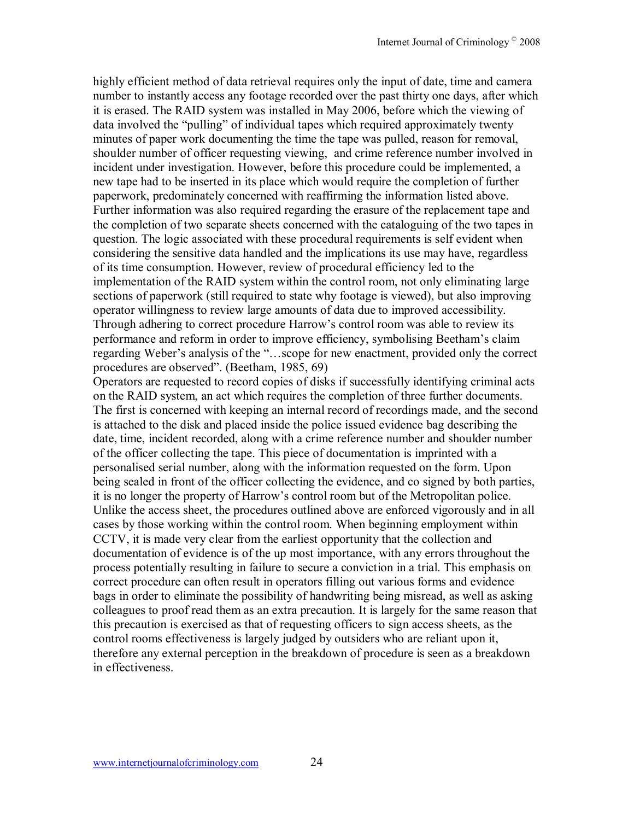highly efficient method of data retrieval requires only the input of date, time and camera number to instantly access any footage recorded over the past thirty one days, after which it is erased. The RAID system was installed in May 2006, before which the viewing of data involved the "pulling" of individual tapes which required approximately twenty minutes of paper work documenting the time the tape was pulled, reason for removal, shoulder number of officer requesting viewing, and crime reference number involved in incident under investigation. However, before this procedure could be implemented, a new tape had to be inserted in its place which would require the completion of further paperwork, predominately concerned with reaffirming the information listed above. Further information was also required regarding the erasure of the replacement tape and the completion of two separate sheets concerned with the cataloguing of the two tapes in question. The logic associated with these procedural requirements is self evident when considering the sensitive data handled and the implications its use may have, regardless of its time consumption. However, review of procedural efficiency led to the implementation of the RAID system within the control room, not only eliminating large sections of paperwork (still required to state why footage is viewed), but also improving operator willingness to review large amounts of data due to improved accessibility. Through adhering to correct procedure Harrow's control room was able to review its performance and reform in order to improve efficiency, symbolising Beetham's claim regarding Weber's analysis of the "...scope for new enactment, provided only the correct procedures are observed". (Beetham, 1985, 69)

Operators are requested to record copies of disks if successfully identifying criminal acts on the RAID system, an act which requires the completion of three further documents. The first is concerned with keeping an internal record of recordings made, and the second is attached to the disk and placed inside the police issued evidence bag describing the date, time, incident recorded, along with a crime reference number and shoulder number of the officer collecting the tape. This piece of documentation is imprinted with a personalised serial number, along with the information requested on the form. Upon being sealed in front of the officer collecting the evidence, and co signed by both parties, it is no longer the property of Harrow's control room but of the Metropolitan police. Unlike the access sheet, the procedures outlined above are enforced vigorously and in all cases by those working within the control room. When beginning employment within CCTV, it is made very clear from the earliest opportunity that the collection and documentation of evidence is of the up most importance, with any errors throughout the process potentially resulting in failure to secure a conviction in a trial. This emphasis on correct procedure can often result in operators filling out various forms and evidence bags in order to eliminate the possibility of handwriting being misread, as well as asking colleagues to proof read them as an extra precaution. It is largely for the same reason that this precaution is exercised as that of requesting officers to sign access sheets, as the control rooms effectiveness is largely judged by outsiders who are reliant upon it, therefore any external perception in the breakdown of procedure is seen as a breakdown in effectiveness.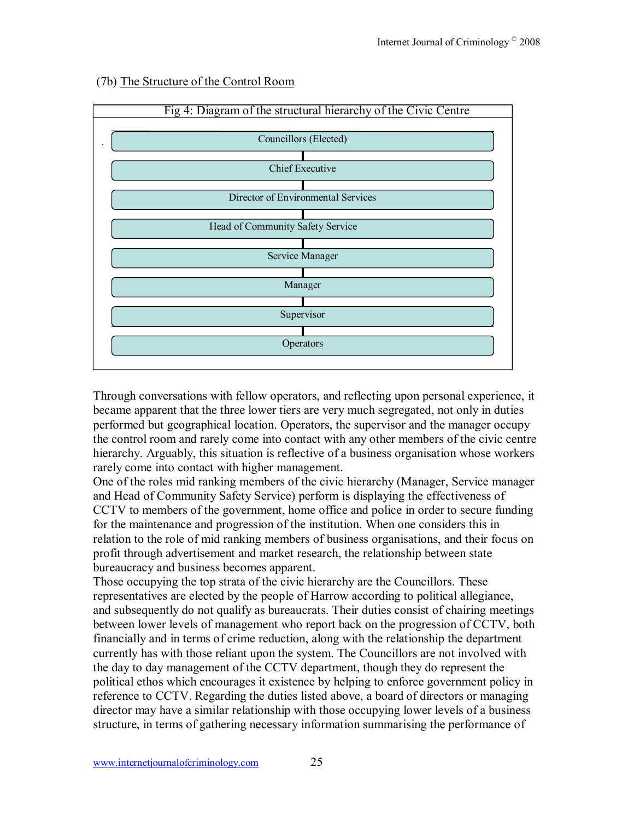

#### (7b) The Structure of the Control Room

Through conversations with fellow operators, and reflecting upon personal experience, it became apparent that the three lower tiers are very much segregated, not only in duties performed but geographical location. Operators, the supervisor and the manager occupy the control room and rarely come into contact with any other members of the civic centre hierarchy. Arguably, this situation is reflective of a business organisation whose workers rarely come into contact with higher management.

One of the roles mid ranking members of the civic hierarchy (Manager, Service manager and Head of Community Safety Service) perform is displaying the effectiveness of CCTV to members of the government, home office and police in order to secure funding for the maintenance and progression of the institution. When one considers this in relation to the role of mid ranking members of business organisations, and their focus on profit through advertisement and market research, the relationship between state bureaucracy and business becomes apparent.

Those occupying the top strata of the civic hierarchy are the Councillors. These representatives are elected by the people of Harrow according to political allegiance, and subsequently do not qualify as bureaucrats. Their duties consist of chairing meetings between lower levels of management who report back on the progression of CCTV, both financially and in terms of crime reduction, along with the relationship the department currently has with those reliant upon the system. The Councillors are not involved with the day to day management of the CCTV department, though they do represent the political ethos which encourages it existence by helping to enforce government policy in reference to CCTV. Regarding the duties listed above, a board of directors or managing director may have a similar relationship with those occupying lower levels of a business structure, in terms of gathering necessary information summarising the performance of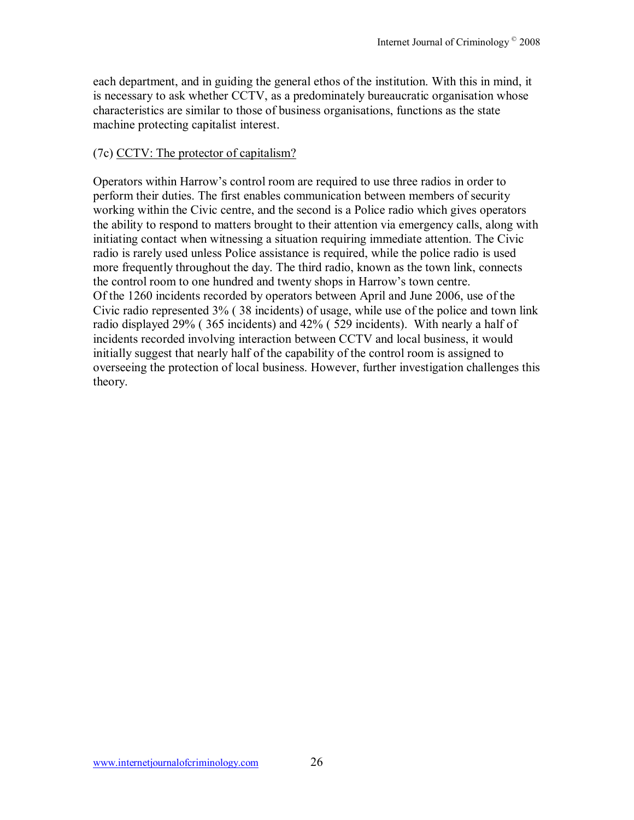each department, and in guiding the general ethos of the institution. With this in mind, it is necessary to ask whether CCTV, as a predominately bureaucratic organisation whose characteristics are similar to those of business organisations, functions as the state machine protecting capitalist interest.

# (7c) CCTV: The protector of capitalism?

Operators within Harrow's control room are required to use three radios in order to perform their duties. The first enables communication between members of security working within the Civic centre, and the second is a Police radio which gives operators the ability to respond to matters brought to their attention via emergency calls, along with initiating contact when witnessing a situation requiring immediate attention. The Civic radio is rarely used unless Police assistance is required, while the police radio is used more frequently throughout the day. The third radio, known as the town link, connects the control room to one hundred and twenty shops in Harrow's town centre. Of the 1260 incidents recorded by operators between April and June 2006, use of the Civic radio represented 3% ( 38 incidents) of usage, while use of the police and town link radio displayed 29% ( 365 incidents) and 42% ( 529 incidents). With nearly a half of incidents recorded involving interaction between CCTV and local business, it would initially suggest that nearly half of the capability of the control room is assigned to overseeing the protection of local business. However, further investigation challenges this theory.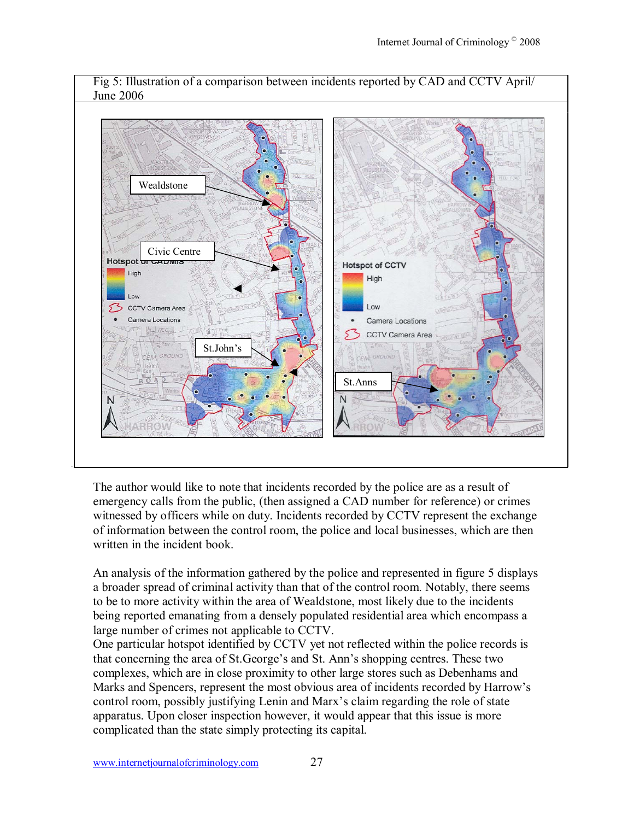

The author would like to note that incidents recorded by the police are as a result of emergency calls from the public, (then assigned a CAD number for reference) or crimes witnessed by officers while on duty. Incidents recorded by CCTV represent the exchange of information between the control room, the police and local businesses, which are then written in the incident book.

An analysis of the information gathered by the police and represented in figure 5 displays a broader spread of criminal activity than that of the control room. Notably, there seems to be to more activity within the area of Wealdstone, most likely due to the incidents being reported emanating from a densely populated residential area which encompass a large number of crimes not applicable to CCTV.

One particular hotspot identified by CCTV yet not reflected within the police records is that concerning the area of St.George's and St. Ann's shopping centres. These two complexes, which are in close proximity to other large stores such as Debenhams and Marks and Spencers, represent the most obvious area of incidents recorded by Harrow's control room, possibly justifying Lenin and Marx's claim regarding the role of state apparatus. Upon closer inspection however, it would appear that this issue is more complicated than the state simply protecting its capital.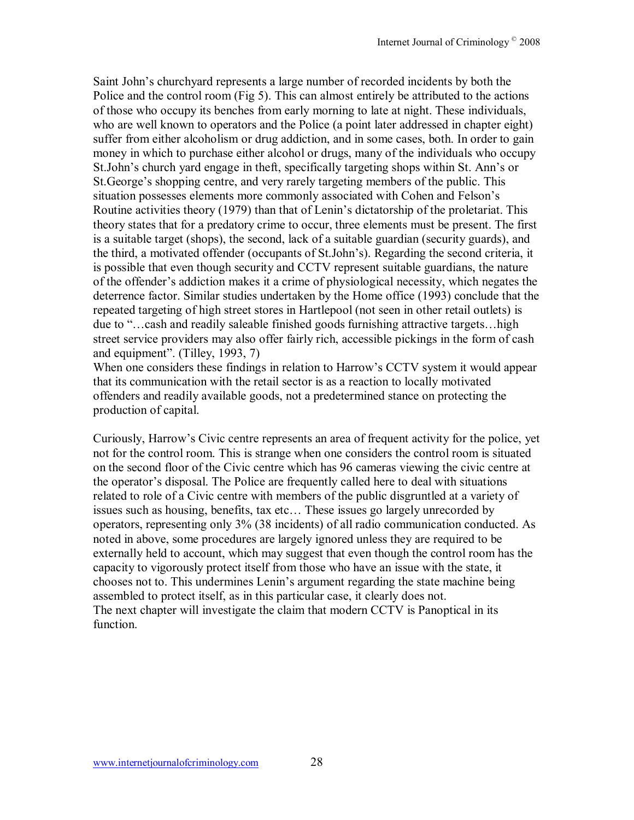Saint John's churchyard represents a large number of recorded incidents by both the Police and the control room (Fig 5). This can almost entirely be attributed to the actions of those who occupy its benches from early morning to late at night. These individuals, who are well known to operators and the Police (a point later addressed in chapter eight) suffer from either alcoholism or drug addiction, and in some cases, both. In order to gain money in which to purchase either alcohol or drugs, many of the individuals who occupy St.John's church yard engage in theft, specifically targeting shops within St. Ann's or St. George's shopping centre, and very rarely targeting members of the public. This situation possesses elements more commonly associated with Cohen and Felson's Routine activities theory (1979) than that of Lenin's dictatorship of the proletariat. This theory states that for a predatory crime to occur, three elements must be present. The first is a suitable target (shops), the second, lack of a suitable guardian (security guards), and the third, a motivated offender (occupants of St.John's). Regarding the second criteria, it is possible that even though security and CCTV represent suitable guardians, the nature of the offender's addiction makes it a crime of physiological necessity, which negates the deterrence factor. Similar studies undertaken by the Home office (1993) conclude that the repeated targeting of high street stores in Hartlepool (not seen in other retail outlets) is due to "...cash and readily saleable finished goods furnishing attractive targets...high street service providers may also offer fairly rich, accessible pickings in the form of cash and equipment". (Tilley,  $1993, 7$ )

When one considers these findings in relation to Harrow's CCTV system it would appear that its communication with the retail sector is as a reaction to locally motivated offenders and readily available goods, not a predetermined stance on protecting the production of capital.

Curiously, Harrow's Civic centre represents an area of frequent activity for the police, yet not for the control room. This is strange when one considers the control room is situated on the second floor of the Civic centre which has 96 cameras viewing the civic centre at the operator's disposal. The Police are frequently called here to deal with situations related to role of a Civic centre with members of the public disgruntled at a variety of issues such as housing, benefits, tax etc... These issues go largely unrecorded by operators, representing only 3% (38 incidents) of all radio communication conducted. As noted in above, some procedures are largely ignored unless they are required to be externally held to account, which may suggest that even though the control room has the capacity to vigorously protect itself from those who have an issue with the state, it chooses not to. This undermines Lenin's argument regarding the state machine being assembled to protect itself, as in this particular case, it clearly does not. The next chapter will investigate the claim that modern CCTV is Panoptical in its function.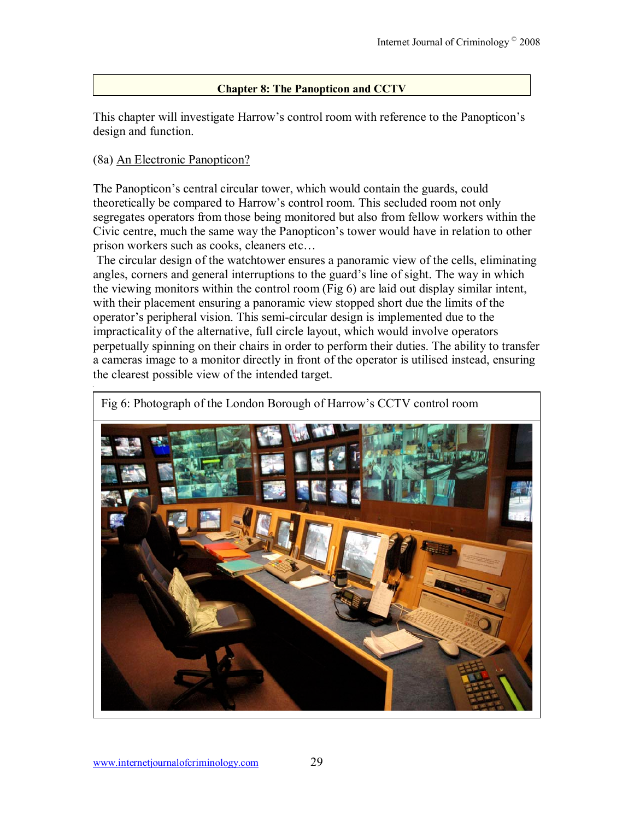# **Chapter 8: The Panopticon and CCTV**

This chapter will investigate Harrow's control room with reference to the Panopticon's design and function.

# (8a) An Electronic Panopticon?

The Panopticon's central circular tower, which would contain the guards, could theoretically be compared to Harrow's control room. This secluded room not only segregates operators from those being monitored but also from fellow workers within the Civic centre, much the same way the Panopticon's tower would have in relation to other prison workers such as cooks, cleaners etc...

 The circular design of the watchtower ensures a panoramic view of the cells, eliminating angles, corners and general interruptions to the guard's line of sight. The way in which the viewing monitors within the control room (Fig 6) are laid out display similar intent, with their placement ensuring a panoramic view stopped short due the limits of the operator's peripheral vision. This semi-circular design is implemented due to the impracticality of the alternative, full circle layout, which would involve operators perpetually spinning on their chairs in order to perform their duties. The ability to transfer a cameras image to a monitor directly in front of the operator is utilised instead, ensuring the clearest possible view of the intended target.



Fig 6: Photograph of the London Borough of Harrow's CCTV control room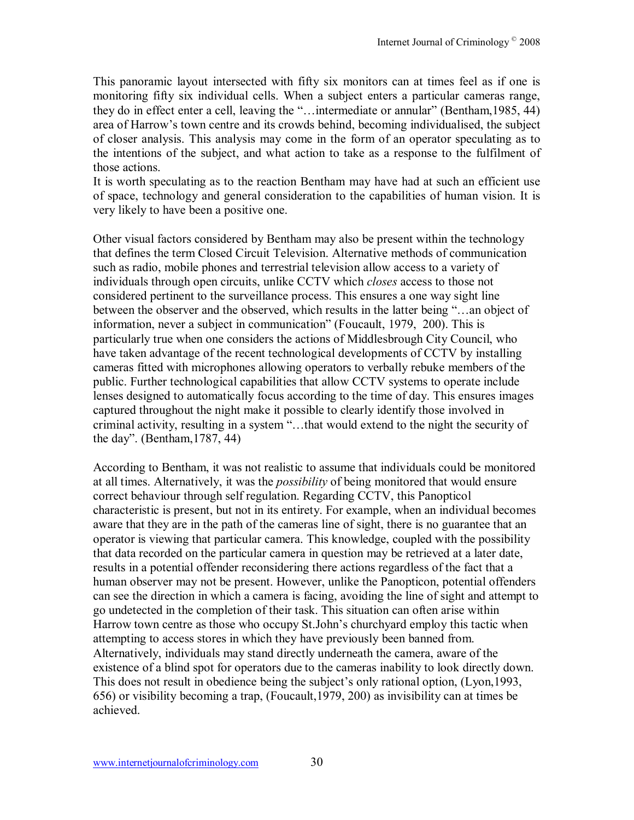This panoramic layout intersected with fifty six monitors can at times feel as if one is monitoring fifty six individual cells. When a subject enters a particular cameras range, they do in effect enter a cell, leaving the "... intermediate or annular" (Bentham, 1985, 44) area of Harrow's town centre and its crowds behind, becoming individualised, the subject of closer analysis. This analysis may come in the form of an operator speculating as to the intentions of the subject, and what action to take as a response to the fulfilment of those actions.

It is worth speculating as to the reaction Bentham may have had at such an efficient use of space, technology and general consideration to the capabilities of human vision. It is very likely to have been a positive one.

Other visual factors considered by Bentham may also be present within the technology that defines the term Closed Circuit Television. Alternative methods of communication such as radio, mobile phones and terrestrial television allow access to a variety of individuals through open circuits, unlike CCTV which *closes* access to those not considered pertinent to the surveillance process. This ensures a one way sight line between the observer and the observed, which results in the latter being "...an object of information, never a subject in communication" (Foucault, 1979, 200). This is particularly true when one considers the actions of Middlesbrough City Council, who have taken advantage of the recent technological developments of CCTV by installing cameras fitted with microphones allowing operators to verbally rebuke members of the public. Further technological capabilities that allow CCTV systems to operate include lenses designed to automatically focus according to the time of day. This ensures images captured throughout the night make it possible to clearly identify those involved in criminal activity, resulting in a system "...that would extend to the night the security of the day". (Bentham,  $1787, 44$ )

According to Bentham, it was not realistic to assume that individuals could be monitored at all times. Alternatively, it was the *possibility* of being monitored that would ensure correct behaviour through self regulation. Regarding CCTV, this Panopticol characteristic is present, but not in its entirety. For example, when an individual becomes aware that they are in the path of the cameras line of sight, there is no guarantee that an operator is viewing that particular camera. This knowledge, coupled with the possibility that data recorded on the particular camera in question may be retrieved at a later date, results in a potential offender reconsidering there actions regardless of the fact that a human observer may not be present. However, unlike the Panopticon, potential offenders can see the direction in which a camera is facing, avoiding the line of sight and attempt to go undetected in the completion of their task. This situation can often arise within Harrow town centre as those who occupy St.John's churchyard employ this tactic when attempting to access stores in which they have previously been banned from. Alternatively, individuals may stand directly underneath the camera, aware of the existence of a blind spot for operators due to the cameras inability to look directly down. This does not result in obedience being the subject's only rational option, (Lyon, 1993, 656) or visibility becoming a trap, (Foucault,1979, 200) as invisibility can at times be achieved.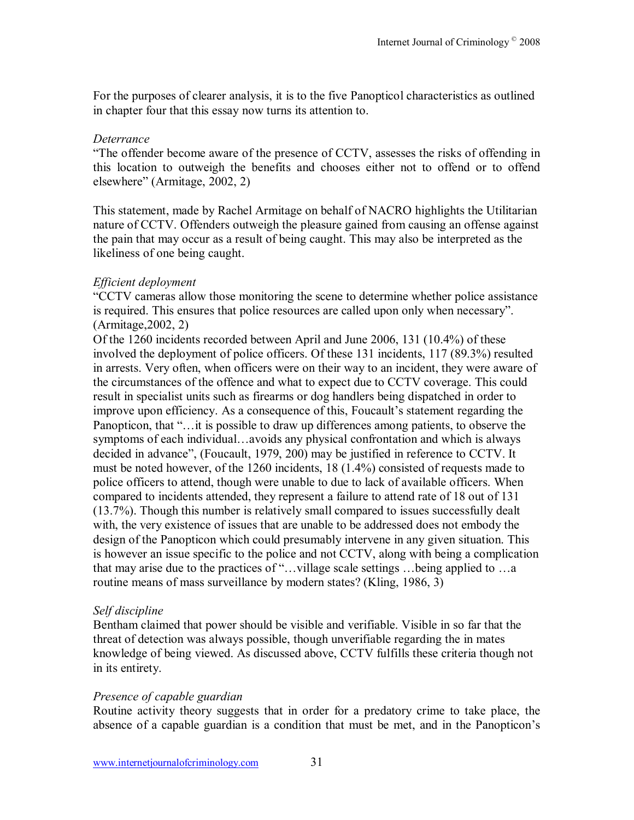For the purposes of clearer analysis, it is to the five Panopticol characteristics as outlined in chapter four that this essay now turns its attention to.

## *Deterrance*

The offender become aware of the presence of CCTV, assesses the risks of offending in this location to outweigh the benefits and chooses either not to offend or to offend elsewhere" (Armitage, 2002, 2)

This statement, made by Rachel Armitage on behalf of NACRO highlights the Utilitarian nature of CCTV. Offenders outweigh the pleasure gained from causing an offense against the pain that may occur as a result of being caught. This may also be interpreted as the likeliness of one being caught.

## *Efficient deployment*

ìCCTV cameras allow those monitoring the scene to determine whether police assistance is required. This ensures that police resources are called upon only when necessary". (Armitage,2002, 2)

Of the 1260 incidents recorded between April and June 2006, 131 (10.4%) of these involved the deployment of police officers. Of these 131 incidents, 117 (89.3%) resulted in arrests. Very often, when officers were on their way to an incident, they were aware of the circumstances of the offence and what to expect due to CCTV coverage. This could result in specialist units such as firearms or dog handlers being dispatched in order to improve upon efficiency. As a consequence of this, Foucault's statement regarding the Panopticon, that "... it is possible to draw up differences among patients, to observe the symptoms of each individual...avoids any physical confrontation and which is always decided in advance", (Foucault, 1979, 200) may be justified in reference to CCTV. It must be noted however, of the 1260 incidents, 18 (1.4%) consisted of requests made to police officers to attend, though were unable to due to lack of available officers. When compared to incidents attended, they represent a failure to attend rate of 18 out of 131 (13.7%). Though this number is relatively small compared to issues successfully dealt with, the very existence of issues that are unable to be addressed does not embody the design of the Panopticon which could presumably intervene in any given situation. This is however an issue specific to the police and not CCTV, along with being a complication that may arise due to the practices of "...village scale settings ...being applied to ...a routine means of mass surveillance by modern states? (Kling, 1986, 3)

# *Self discipline*

Bentham claimed that power should be visible and verifiable. Visible in so far that the threat of detection was always possible, though unverifiable regarding the in mates knowledge of being viewed. As discussed above, CCTV fulfills these criteria though not in its entirety.

# *Presence of capable guardian*

Routine activity theory suggests that in order for a predatory crime to take place, the absence of a capable guardian is a condition that must be met, and in the Panopticon's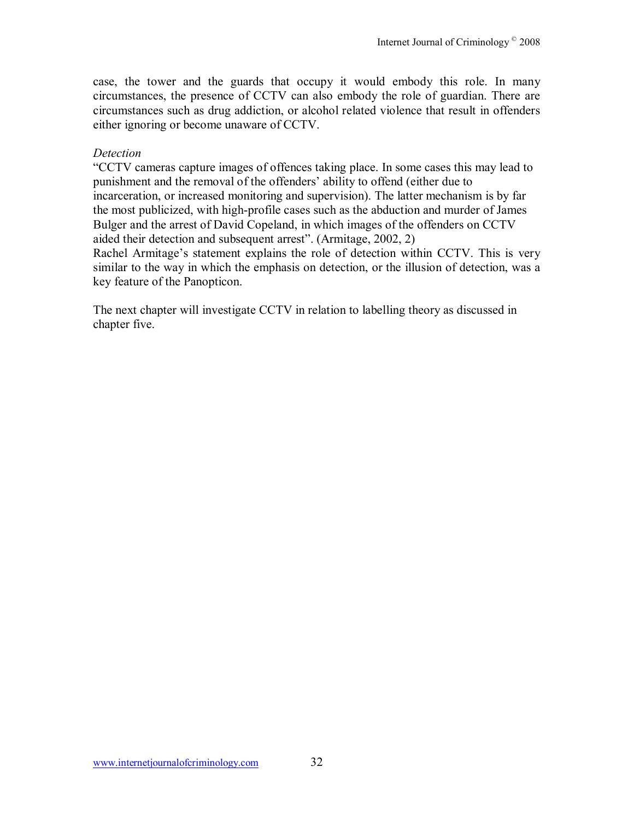case, the tower and the guards that occupy it would embody this role. In many circumstances, the presence of CCTV can also embody the role of guardian. There are circumstances such as drug addiction, or alcohol related violence that result in offenders either ignoring or become unaware of CCTV.

#### *Detection*

ìCCTV cameras capture images of offences taking place. In some cases this may lead to punishment and the removal of the offenders' ability to offend (either due to incarceration, or increased monitoring and supervision). The latter mechanism is by far the most publicized, with high-profile cases such as the abduction and murder of James Bulger and the arrest of David Copeland, in which images of the offenders on CCTV aided their detection and subsequent arrest". (Armitage, 2002, 2)

Rachel Armitage's statement explains the role of detection within CCTV. This is very similar to the way in which the emphasis on detection, or the illusion of detection, was a key feature of the Panopticon.

The next chapter will investigate CCTV in relation to labelling theory as discussed in chapter five.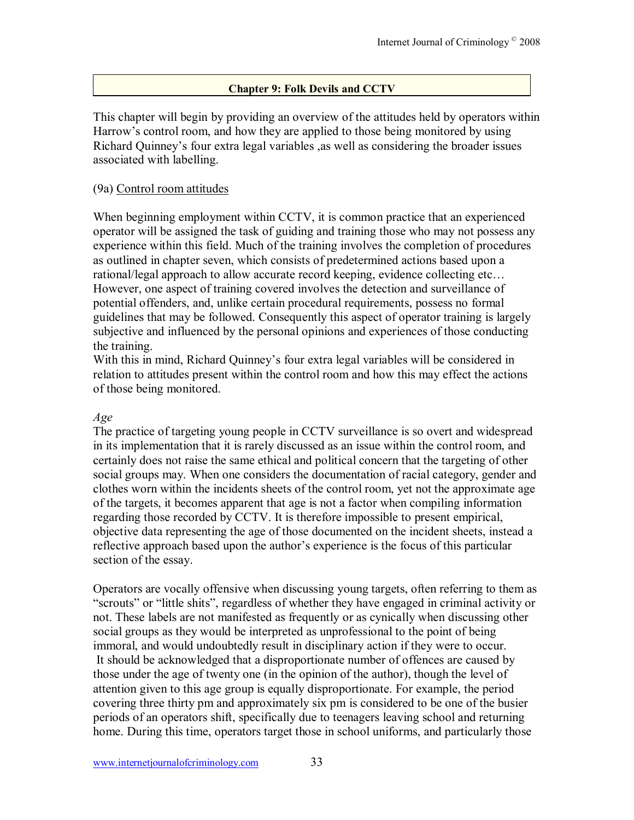# **Chapter 9: Folk Devils and CCTV**

This chapter will begin by providing an overview of the attitudes held by operators within Harrow's control room, and how they are applied to those being monitored by using Richard Quinney's four extra legal variables , as well as considering the broader issues associated with labelling.

#### (9a) Control room attitudes

When beginning employment within CCTV, it is common practice that an experienced operator will be assigned the task of guiding and training those who may not possess any experience within this field. Much of the training involves the completion of procedures as outlined in chapter seven, which consists of predetermined actions based upon a rational/legal approach to allow accurate record keeping, evidence collecting etc... However, one aspect of training covered involves the detection and surveillance of potential offenders, and, unlike certain procedural requirements, possess no formal guidelines that may be followed. Consequently this aspect of operator training is largely subjective and influenced by the personal opinions and experiences of those conducting the training.

With this in mind. Richard Ouinney's four extra legal variables will be considered in relation to attitudes present within the control room and how this may effect the actions of those being monitored.

#### *Age*

The practice of targeting young people in CCTV surveillance is so overt and widespread in its implementation that it is rarely discussed as an issue within the control room, and certainly does not raise the same ethical and political concern that the targeting of other social groups may. When one considers the documentation of racial category, gender and clothes worn within the incidents sheets of the control room, yet not the approximate age of the targets, it becomes apparent that age is not a factor when compiling information regarding those recorded by CCTV. It is therefore impossible to present empirical, objective data representing the age of those documented on the incident sheets, instead a reflective approach based upon the author's experience is the focus of this particular section of the essay.

Operators are vocally offensive when discussing young targets, often referring to them as "scrouts" or "little shits", regardless of whether they have engaged in criminal activity or not. These labels are not manifested as frequently or as cynically when discussing other social groups as they would be interpreted as unprofessional to the point of being immoral, and would undoubtedly result in disciplinary action if they were to occur. It should be acknowledged that a disproportionate number of offences are caused by those under the age of twenty one (in the opinion of the author), though the level of attention given to this age group is equally disproportionate. For example, the period covering three thirty pm and approximately six pm is considered to be one of the busier periods of an operators shift, specifically due to teenagers leaving school and returning home. During this time, operators target those in school uniforms, and particularly those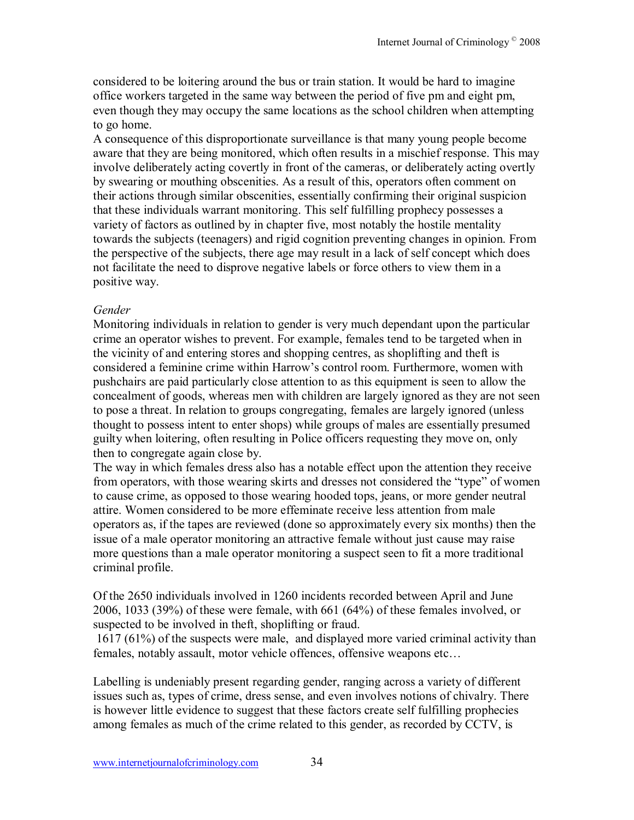considered to be loitering around the bus or train station. It would be hard to imagine office workers targeted in the same way between the period of five pm and eight pm, even though they may occupy the same locations as the school children when attempting to go home.

A consequence of this disproportionate surveillance is that many young people become aware that they are being monitored, which often results in a mischief response. This may involve deliberately acting covertly in front of the cameras, or deliberately acting overtly by swearing or mouthing obscenities. As a result of this, operators often comment on their actions through similar obscenities, essentially confirming their original suspicion that these individuals warrant monitoring. This self fulfilling prophecy possesses a variety of factors as outlined by in chapter five, most notably the hostile mentality towards the subjects (teenagers) and rigid cognition preventing changes in opinion. From the perspective of the subjects, there age may result in a lack of self concept which does not facilitate the need to disprove negative labels or force others to view them in a positive way.

# *Gender*

Monitoring individuals in relation to gender is very much dependant upon the particular crime an operator wishes to prevent. For example, females tend to be targeted when in the vicinity of and entering stores and shopping centres, as shoplifting and theft is considered a feminine crime within Harrow's control room. Furthermore, women with pushchairs are paid particularly close attention to as this equipment is seen to allow the concealment of goods, whereas men with children are largely ignored as they are not seen to pose a threat. In relation to groups congregating, females are largely ignored (unless thought to possess intent to enter shops) while groups of males are essentially presumed guilty when loitering, often resulting in Police officers requesting they move on, only then to congregate again close by.

The way in which females dress also has a notable effect upon the attention they receive from operators, with those wearing skirts and dresses not considered the "type" of women to cause crime, as opposed to those wearing hooded tops, jeans, or more gender neutral attire. Women considered to be more effeminate receive less attention from male operators as, if the tapes are reviewed (done so approximately every six months) then the issue of a male operator monitoring an attractive female without just cause may raise more questions than a male operator monitoring a suspect seen to fit a more traditional criminal profile.

Of the 2650 individuals involved in 1260 incidents recorded between April and June 2006, 1033 (39%) of these were female, with 661 (64%) of these females involved, or suspected to be involved in theft, shoplifting or fraud.

 1617 (61%) of the suspects were male, and displayed more varied criminal activity than females, notably assault, motor vehicle offences, offensive weapons etc...

Labelling is undeniably present regarding gender, ranging across a variety of different issues such as, types of crime, dress sense, and even involves notions of chivalry. There is however little evidence to suggest that these factors create self fulfilling prophecies among females as much of the crime related to this gender, as recorded by CCTV, is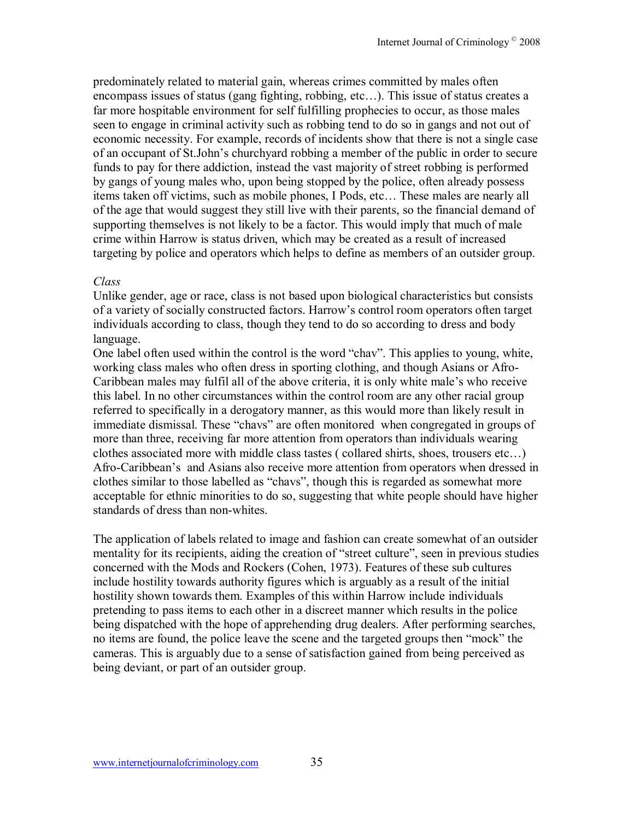predominately related to material gain, whereas crimes committed by males often encompass issues of status (gang fighting, robbing, etc...). This issue of status creates a far more hospitable environment for self fulfilling prophecies to occur, as those males seen to engage in criminal activity such as robbing tend to do so in gangs and not out of economic necessity. For example, records of incidents show that there is not a single case of an occupant of St.John's churchyard robbing a member of the public in order to secure funds to pay for there addiction, instead the vast majority of street robbing is performed by gangs of young males who, upon being stopped by the police, often already possess items taken off victims, such as mobile phones, I Pods, etc... These males are nearly all of the age that would suggest they still live with their parents, so the financial demand of supporting themselves is not likely to be a factor. This would imply that much of male crime within Harrow is status driven, which may be created as a result of increased targeting by police and operators which helps to define as members of an outsider group.

## *Class*

Unlike gender, age or race, class is not based upon biological characteristics but consists of a variety of socially constructed factors. Harrow's control room operators often target individuals according to class, though they tend to do so according to dress and body language.

One label often used within the control is the word "chav". This applies to young, white, working class males who often dress in sporting clothing, and though Asians or Afro-Caribbean males may fulfil all of the above criteria, it is only white male's who receive this label. In no other circumstances within the control room are any other racial group referred to specifically in a derogatory manner, as this would more than likely result in immediate dismissal. These "chavs" are often monitored when congregated in groups of more than three, receiving far more attention from operators than individuals wearing clothes associated more with middle class tastes (collared shirts, shoes, trousers etc...) Afro-Caribbean's and Asians also receive more attention from operators when dressed in clothes similar to those labelled as "chavs", though this is regarded as somewhat more acceptable for ethnic minorities to do so, suggesting that white people should have higher standards of dress than non-whites.

The application of labels related to image and fashion can create somewhat of an outsider mentality for its recipients, aiding the creation of "street culture", seen in previous studies concerned with the Mods and Rockers (Cohen, 1973). Features of these sub cultures include hostility towards authority figures which is arguably as a result of the initial hostility shown towards them. Examples of this within Harrow include individuals pretending to pass items to each other in a discreet manner which results in the police being dispatched with the hope of apprehending drug dealers. After performing searches, no items are found, the police leave the scene and the targeted groups then "mock" the cameras. This is arguably due to a sense of satisfaction gained from being perceived as being deviant, or part of an outsider group.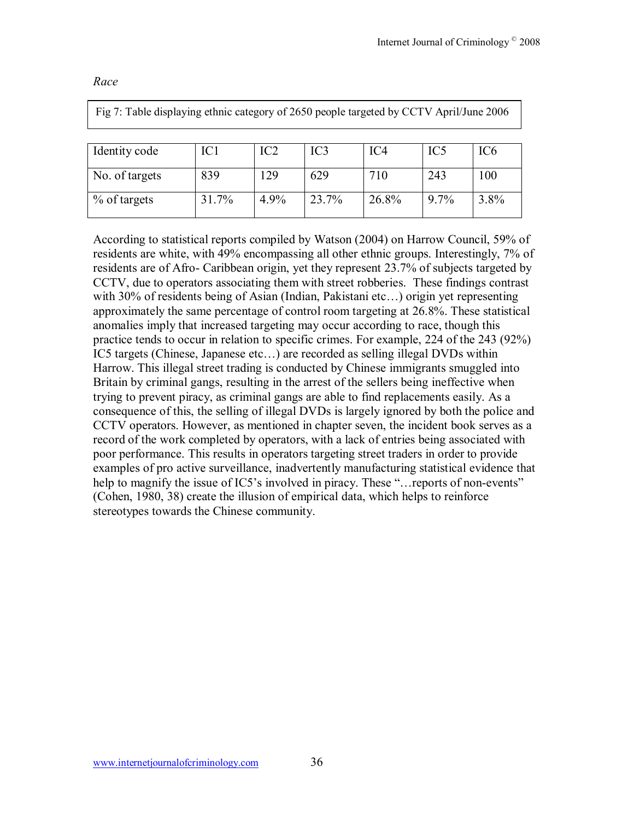| Fig 7: Table displaying ethnic category of 2650 people targeted by CCTV April/June 2006 |       |                 |       |       |                 |                 |
|-----------------------------------------------------------------------------------------|-------|-----------------|-------|-------|-----------------|-----------------|
| Identity code                                                                           | IC1   | IC <sub>2</sub> | IC3   | IC4   | IC <sub>5</sub> | IC <sub>6</sub> |
| No. of targets                                                                          | 839   | 129             | 629   | 710   | 243             | 100             |
| % of targets                                                                            | 31.7% | 4.9%            | 23.7% | 26.8% | $9.7\%$         | 3.8%            |

*Race* 

According to statistical reports compiled by Watson (2004) on Harrow Council, 59% of residents are white, with 49% encompassing all other ethnic groups. Interestingly, 7% of residents are of Afro- Caribbean origin, yet they represent 23.7% of subjects targeted by CCTV, due to operators associating them with street robberies. These findings contrast with 30% of residents being of Asian (Indian, Pakistani etc...) origin yet representing approximately the same percentage of control room targeting at 26.8%. These statistical anomalies imply that increased targeting may occur according to race, though this practice tends to occur in relation to specific crimes. For example, 224 of the 243 (92%) IC5 targets (Chinese, Japanese etc...) are recorded as selling illegal DVDs within Harrow. This illegal street trading is conducted by Chinese immigrants smuggled into Britain by criminal gangs, resulting in the arrest of the sellers being ineffective when trying to prevent piracy, as criminal gangs are able to find replacements easily. As a consequence of this, the selling of illegal DVDs is largely ignored by both the police and CCTV operators. However, as mentioned in chapter seven, the incident book serves as a record of the work completed by operators, with a lack of entries being associated with poor performance. This results in operators targeting street traders in order to provide examples of pro active surveillance, inadvertently manufacturing statistical evidence that help to magnify the issue of IC5's involved in piracy. These "... reports of non-events" (Cohen, 1980, 38) create the illusion of empirical data, which helps to reinforce stereotypes towards the Chinese community.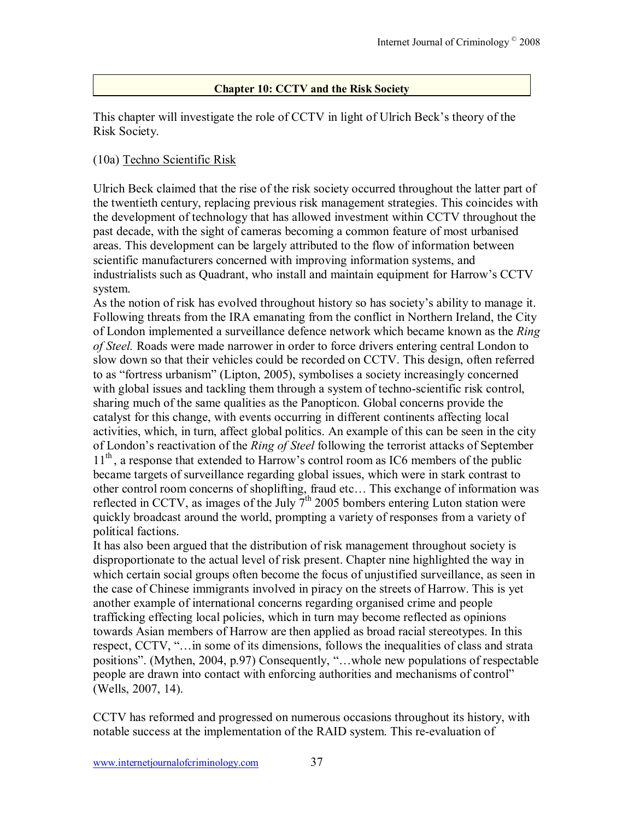# **Chapter 10: CCTV and the Risk Society**

This chapter will investigate the role of CCTV in light of Ulrich Beck's theory of the Risk Society.

# (10a) Techno Scientific Risk

Ulrich Beck claimed that the rise of the risk society occurred throughout the latter part of the twentieth century, replacing previous risk management strategies. This coincides with the development of technology that has allowed investment within CCTV throughout the past decade, with the sight of cameras becoming a common feature of most urbanised areas. This development can be largely attributed to the flow of information between scientific manufacturers concerned with improving information systems, and industrialists such as Quadrant, who install and maintain equipment for Harrow's CCTV system.

As the notion of risk has evolved throughout history so has society's ability to manage it. Following threats from the IRA emanating from the conflict in Northern Ireland, the City of London implemented a surveillance defence network which became known as the *Ring of Steel.* Roads were made narrower in order to force drivers entering central London to slow down so that their vehicles could be recorded on CCTV. This design, often referred to as "fortress urbanism" (Lipton, 2005), symbolises a society increasingly concerned with global issues and tackling them through a system of techno-scientific risk control, sharing much of the same qualities as the Panopticon. Global concerns provide the catalyst for this change, with events occurring in different continents affecting local activities, which, in turn, affect global politics. An example of this can be seen in the city of Londonís reactivation of the *Ring of Steel* following the terrorist attacks of September  $11<sup>th</sup>$ , a response that extended to Harrow's control room as IC6 members of the public became targets of surveillance regarding global issues, which were in stark contrast to other control room concerns of shoplifting, fraud etc... This exchange of information was reflected in CCTV, as images of the July 7<sup>th</sup> 2005 bombers entering Luton station were quickly broadcast around the world, prompting a variety of responses from a variety of political factions.

It has also been argued that the distribution of risk management throughout society is disproportionate to the actual level of risk present. Chapter nine highlighted the way in which certain social groups often become the focus of unjustified surveillance, as seen in the case of Chinese immigrants involved in piracy on the streets of Harrow. This is yet another example of international concerns regarding organised crime and people trafficking effecting local policies, which in turn may become reflected as opinions towards Asian members of Harrow are then applied as broad racial stereotypes. In this respect, CCTV, "... in some of its dimensions, follows the inequalities of class and strata positions". (Mythen, 2004, p.97) Consequently, "...whole new populations of respectable people are drawn into contact with enforcing authorities and mechanisms of control" (Wells, 2007, 14).

CCTV has reformed and progressed on numerous occasions throughout its history, with notable success at the implementation of the RAID system. This re-evaluation of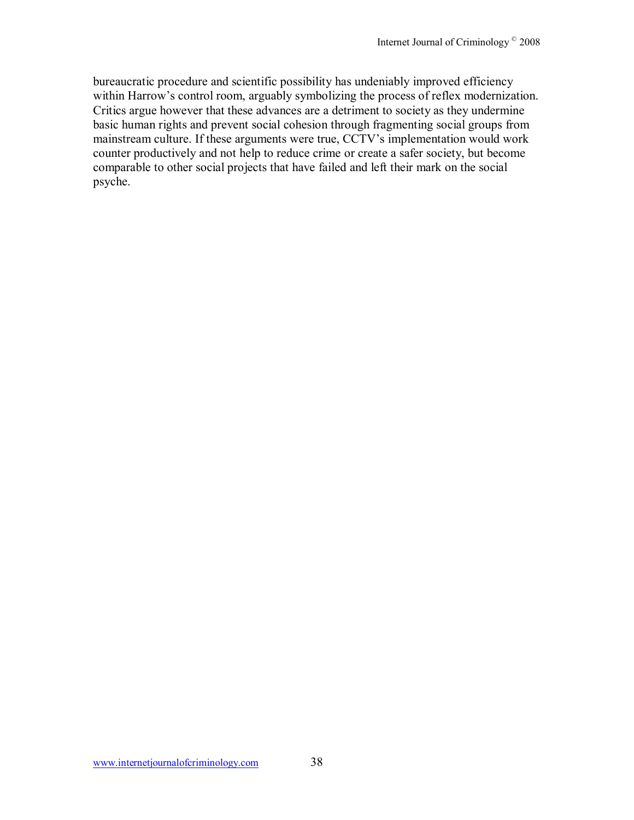bureaucratic procedure and scientific possibility has undeniably improved efficiency within Harrow's control room, arguably symbolizing the process of reflex modernization. Critics argue however that these advances are a detriment to society as they undermine basic human rights and prevent social cohesion through fragmenting social groups from mainstream culture. If these arguments were true, CCTV's implementation would work counter productively and not help to reduce crime or create a safer society, but become comparable to other social projects that have failed and left their mark on the social psyche.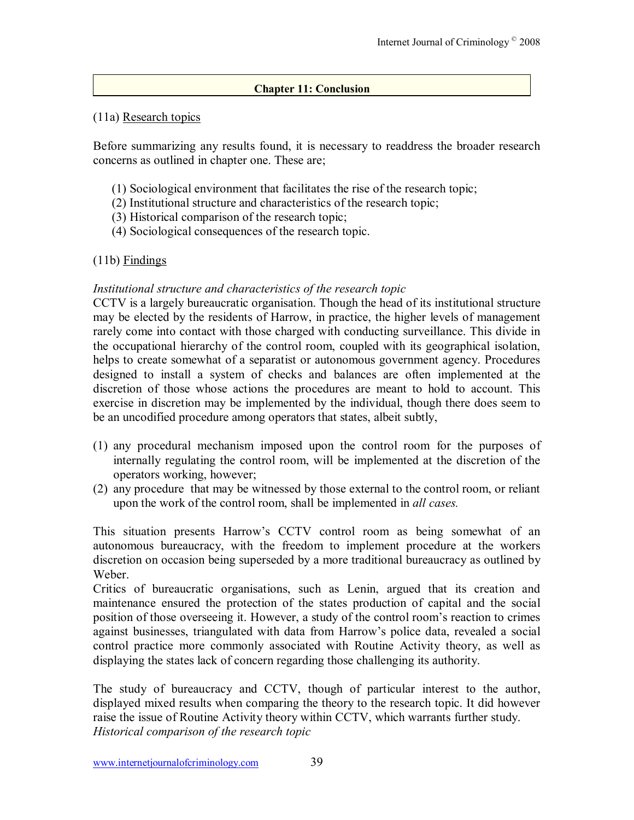# **Chapter 11: Conclusion**

# (11a) Research topics

Before summarizing any results found, it is necessary to readdress the broader research concerns as outlined in chapter one. These are;

- (1) Sociological environment that facilitates the rise of the research topic;
- (2) Institutional structure and characteristics of the research topic;
- (3) Historical comparison of the research topic;
- (4) Sociological consequences of the research topic.

# $(11b)$  Findings

# *Institutional structure and characteristics of the research topic*

CCTV is a largely bureaucratic organisation. Though the head of its institutional structure may be elected by the residents of Harrow, in practice, the higher levels of management rarely come into contact with those charged with conducting surveillance. This divide in the occupational hierarchy of the control room, coupled with its geographical isolation, helps to create somewhat of a separatist or autonomous government agency. Procedures designed to install a system of checks and balances are often implemented at the discretion of those whose actions the procedures are meant to hold to account. This exercise in discretion may be implemented by the individual, though there does seem to be an uncodified procedure among operators that states, albeit subtly,

- (1) any procedural mechanism imposed upon the control room for the purposes of internally regulating the control room, will be implemented at the discretion of the operators working, however;
- (2) any procedure that may be witnessed by those external to the control room, or reliant upon the work of the control room, shall be implemented in *all cases.*

This situation presents Harrow's CCTV control room as being somewhat of an autonomous bureaucracy, with the freedom to implement procedure at the workers discretion on occasion being superseded by a more traditional bureaucracy as outlined by Weber.

Critics of bureaucratic organisations, such as Lenin, argued that its creation and maintenance ensured the protection of the states production of capital and the social position of those overseeing it. However, a study of the control room's reaction to crimes against businesses, triangulated with data from Harrow's police data, revealed a social control practice more commonly associated with Routine Activity theory, as well as displaying the states lack of concern regarding those challenging its authority.

The study of bureaucracy and CCTV, though of particular interest to the author, displayed mixed results when comparing the theory to the research topic. It did however raise the issue of Routine Activity theory within CCTV, which warrants further study. *Historical comparison of the research topic*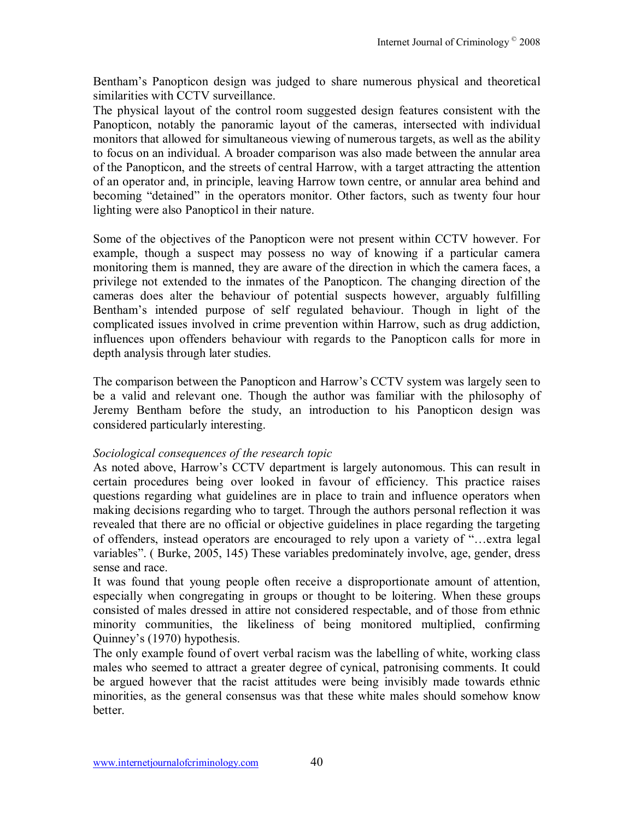Benthamís Panopticon design was judged to share numerous physical and theoretical similarities with CCTV surveillance.

The physical layout of the control room suggested design features consistent with the Panopticon, notably the panoramic layout of the cameras, intersected with individual monitors that allowed for simultaneous viewing of numerous targets, as well as the ability to focus on an individual. A broader comparison was also made between the annular area of the Panopticon, and the streets of central Harrow, with a target attracting the attention of an operator and, in principle, leaving Harrow town centre, or annular area behind and becoming "detained" in the operators monitor. Other factors, such as twenty four hour lighting were also Panopticol in their nature.

Some of the objectives of the Panopticon were not present within CCTV however. For example, though a suspect may possess no way of knowing if a particular camera monitoring them is manned, they are aware of the direction in which the camera faces, a privilege not extended to the inmates of the Panopticon. The changing direction of the cameras does alter the behaviour of potential suspects however, arguably fulfilling Benthamís intended purpose of self regulated behaviour. Though in light of the complicated issues involved in crime prevention within Harrow, such as drug addiction, influences upon offenders behaviour with regards to the Panopticon calls for more in depth analysis through later studies.

The comparison between the Panopticon and Harrow's CCTV system was largely seen to be a valid and relevant one. Though the author was familiar with the philosophy of Jeremy Bentham before the study, an introduction to his Panopticon design was considered particularly interesting.

# *Sociological consequences of the research topic*

As noted above, Harrow's CCTV department is largely autonomous. This can result in certain procedures being over looked in favour of efficiency. This practice raises questions regarding what guidelines are in place to train and influence operators when making decisions regarding who to target. Through the authors personal reflection it was revealed that there are no official or objective guidelines in place regarding the targeting of offenders, instead operators are encouraged to rely upon a variety of "...extra legal variables". ( Burke, 2005, 145) These variables predominately involve, age, gender, dress sense and race.

It was found that young people often receive a disproportionate amount of attention, especially when congregating in groups or thought to be loitering. When these groups consisted of males dressed in attire not considered respectable, and of those from ethnic minority communities, the likeliness of being monitored multiplied, confirming Quinney's (1970) hypothesis.

The only example found of overt verbal racism was the labelling of white, working class males who seemed to attract a greater degree of cynical, patronising comments. It could be argued however that the racist attitudes were being invisibly made towards ethnic minorities, as the general consensus was that these white males should somehow know better.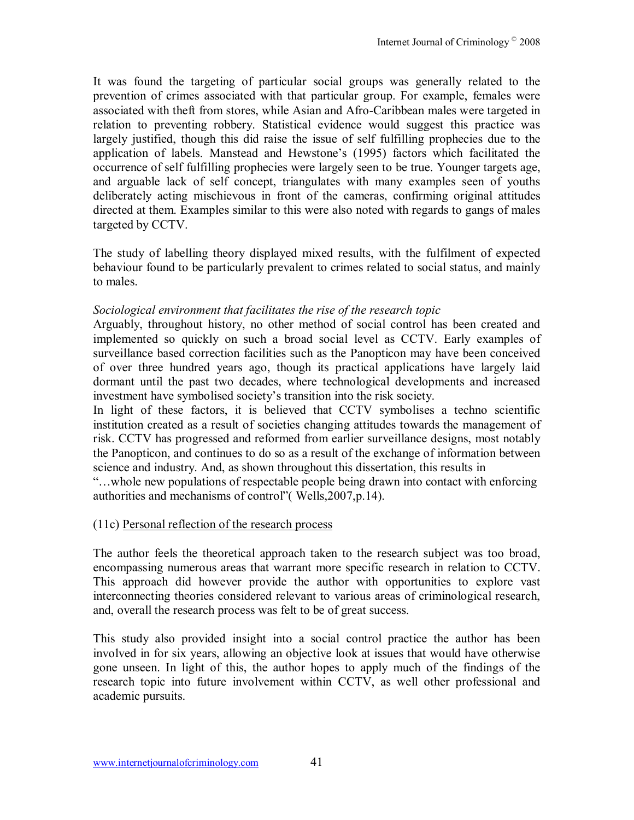It was found the targeting of particular social groups was generally related to the prevention of crimes associated with that particular group. For example, females were associated with theft from stores, while Asian and Afro-Caribbean males were targeted in relation to preventing robbery. Statistical evidence would suggest this practice was largely justified, though this did raise the issue of self fulfilling prophecies due to the application of labels. Manstead and Hewstone's (1995) factors which facilitated the occurrence of self fulfilling prophecies were largely seen to be true. Younger targets age, and arguable lack of self concept, triangulates with many examples seen of youths deliberately acting mischievous in front of the cameras, confirming original attitudes directed at them. Examples similar to this were also noted with regards to gangs of males targeted by CCTV.

The study of labelling theory displayed mixed results, with the fulfilment of expected behaviour found to be particularly prevalent to crimes related to social status, and mainly to males.

## *Sociological environment that facilitates the rise of the research topic*

Arguably, throughout history, no other method of social control has been created and implemented so quickly on such a broad social level as CCTV. Early examples of surveillance based correction facilities such as the Panopticon may have been conceived of over three hundred years ago, though its practical applications have largely laid dormant until the past two decades, where technological developments and increased investment have symbolised society's transition into the risk society.

In light of these factors, it is believed that CCTV symbolises a techno scientific institution created as a result of societies changing attitudes towards the management of risk. CCTV has progressed and reformed from earlier surveillance designs, most notably the Panopticon, and continues to do so as a result of the exchange of information between science and industry. And, as shown throughout this dissertation, this results in

ìÖwhole new populations of respectable people being drawn into contact with enforcing authorities and mechanisms of control" (Wells, 2007, p. 14).

#### (11c) Personal reflection of the research process

The author feels the theoretical approach taken to the research subject was too broad, encompassing numerous areas that warrant more specific research in relation to CCTV. This approach did however provide the author with opportunities to explore vast interconnecting theories considered relevant to various areas of criminological research, and, overall the research process was felt to be of great success.

This study also provided insight into a social control practice the author has been involved in for six years, allowing an objective look at issues that would have otherwise gone unseen. In light of this, the author hopes to apply much of the findings of the research topic into future involvement within CCTV, as well other professional and academic pursuits.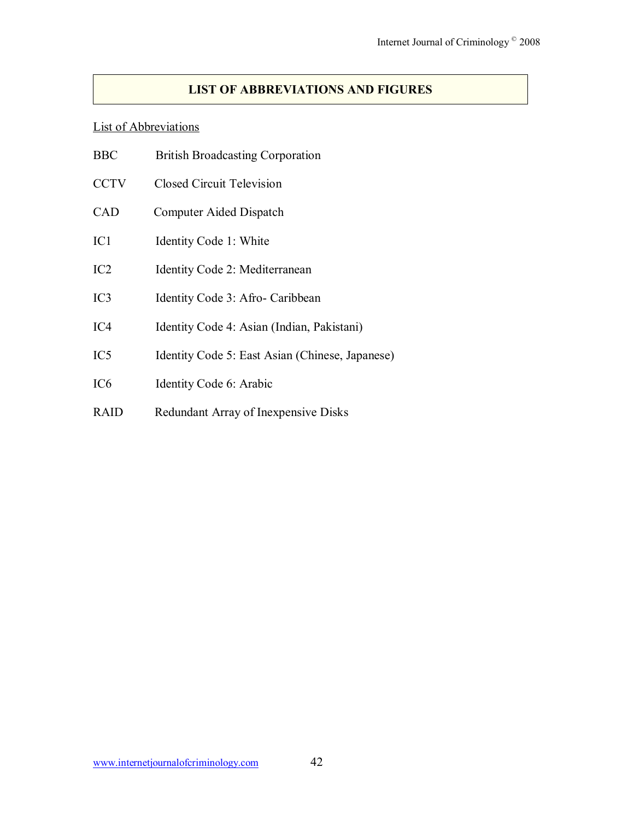# **LIST OF ABBREVIATIONS AND FIGURES**

#### List of Abbreviations

- CCTV Closed Circuit Television
- CAD Computer Aided Dispatch
- IC1 Identity Code 1: White
- IC2 Identity Code 2: Mediterranean
- IC3 Identity Code 3: Afro- Caribbean
- IC4 Identity Code 4: Asian (Indian, Pakistani)
- IC5 Identity Code 5: East Asian (Chinese, Japanese)
- IC6 Identity Code 6: Arabic
- RAID Redundant Array of Inexpensive Disks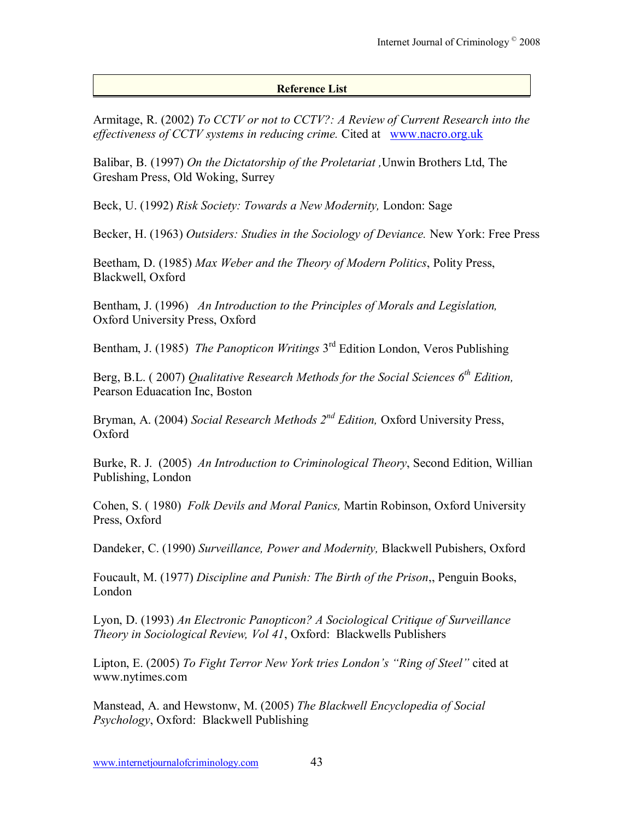## **Reference List**

Armitage, R. (2002) *To CCTV or not to CCTV?: A Review of Current Research into the effectiveness of CCTV systems in reducing crime.* Cited atwww.nacro.org.uk

Balibar, B. (1997) *On the Dictatorship of the Proletariat ,*Unwin Brothers Ltd, The Gresham Press, Old Woking, Surrey

Beck, U. (1992) *Risk Society: Towards a New Modernity,* London: Sage

Becker, H. (1963) *Outsiders: Studies in the Sociology of Deviance.* New York: Free Press

Beetham, D. (1985) *Max Weber and the Theory of Modern Politics*, Polity Press, Blackwell, Oxford

Bentham, J. (1996) *An Introduction to the Principles of Morals and Legislation,* Oxford University Press, Oxford

Bentham, J. (1985) *The Panopticon Writings* 3rd Edition London, Veros Publishing

Berg, B.L. ( 2007) *Qualitative Research Methods for the Social Sciences 6th Edition,*  Pearson Eduacation Inc, Boston

Bryman, A. (2004) *Social Research Methods 2nd Edition,* Oxford University Press, Oxford

Burke, R. J. (2005) *An Introduction to Criminological Theory*, Second Edition, Willian Publishing, London

Cohen, S. ( 1980) *Folk Devils and Moral Panics,* Martin Robinson, Oxford University Press, Oxford

Dandeker, C. (1990) *Surveillance, Power and Modernity,* Blackwell Pubishers, Oxford

Foucault, M. (1977) *Discipline and Punish: The Birth of the Prison*,, Penguin Books, London

Lyon, D. (1993) *An Electronic Panopticon? A Sociological Critique of Surveillance Theory in Sociological Review, Vol 41*, Oxford: Blackwells Publishers

Lipton, E. (2005) *To Fight Terror New York tries London's "Ring of Steel"* cited at www.nytimes.com

Manstead, A. and Hewstonw, M. (2005) *The Blackwell Encyclopedia of Social Psychology*, Oxford: Blackwell Publishing